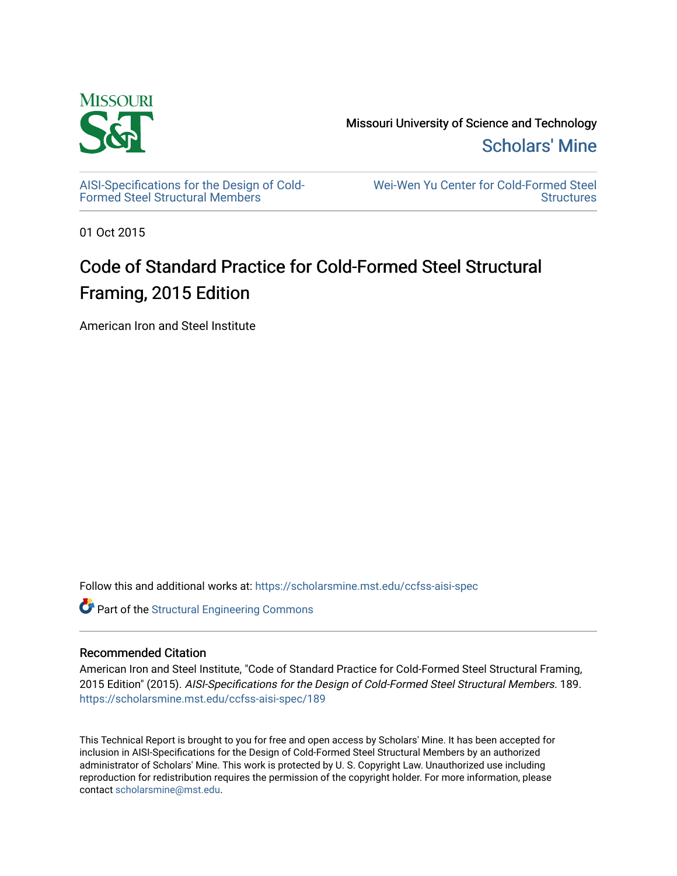

[AISI-Specifications for the Design of Cold-](https://scholarsmine.mst.edu/ccfss-aisi-spec)[Formed Steel Structural Members](https://scholarsmine.mst.edu/ccfss-aisi-spec)

[Wei-Wen Yu Center for Cold-Formed Steel](https://scholarsmine.mst.edu/ccfss)  **Structures** 

01 Oct 2015

# Code of Standard Practice for Cold-Formed Steel Structural Framing, 2015 Edition

American Iron and Steel Institute

Follow this and additional works at: [https://scholarsmine.mst.edu/ccfss-aisi-spec](https://scholarsmine.mst.edu/ccfss-aisi-spec?utm_source=scholarsmine.mst.edu%2Fccfss-aisi-spec%2F189&utm_medium=PDF&utm_campaign=PDFCoverPages) 

Part of the [Structural Engineering Commons](http://network.bepress.com/hgg/discipline/256?utm_source=scholarsmine.mst.edu%2Fccfss-aisi-spec%2F189&utm_medium=PDF&utm_campaign=PDFCoverPages) 

# Recommended Citation

American Iron and Steel Institute, "Code of Standard Practice for Cold-Formed Steel Structural Framing, 2015 Edition" (2015). AISI-Specifications for the Design of Cold-Formed Steel Structural Members. 189. [https://scholarsmine.mst.edu/ccfss-aisi-spec/189](https://scholarsmine.mst.edu/ccfss-aisi-spec/189?utm_source=scholarsmine.mst.edu%2Fccfss-aisi-spec%2F189&utm_medium=PDF&utm_campaign=PDFCoverPages) 

This Technical Report is brought to you for free and open access by Scholars' Mine. It has been accepted for inclusion in AISI-Specifications for the Design of Cold-Formed Steel Structural Members by an authorized administrator of Scholars' Mine. This work is protected by U. S. Copyright Law. Unauthorized use including reproduction for redistribution requires the permission of the copyright holder. For more information, please contact [scholarsmine@mst.edu](mailto:scholarsmine@mst.edu).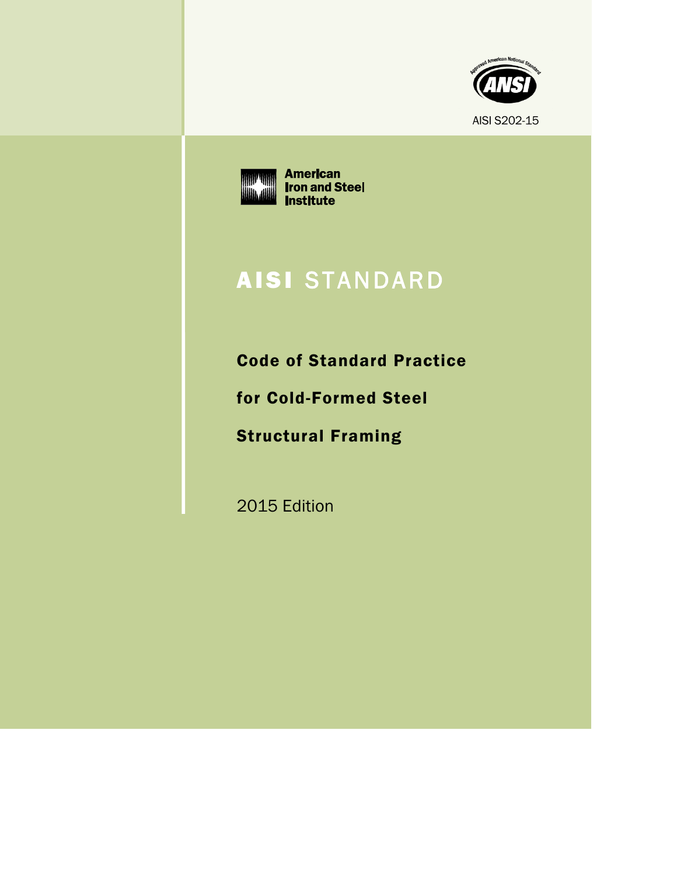



# **AISI** STANDARD

# Code of Standard Practice

for Cold-Formed Steel

Structural Framing

2015 Edition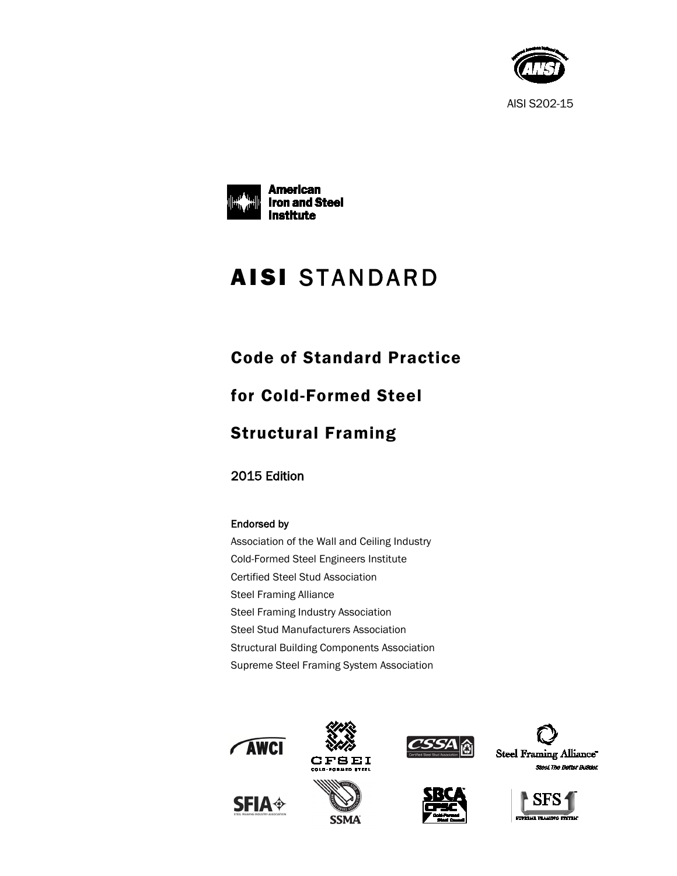

AISI S202-15



# AISI STANDARD

# Code of Standard Practice

# for Cold-Formed Steel

# Structural Framing

2015 Edition

# Endorsed by

Association of the Wall and Ceiling Industry Cold-Formed Steel Engineers Institute Certified Steel Stud Association Steel Framing Alliance Steel Framing Industry Association Steel Stud Manufacturers Association Structural Building Components Association Supreme Steel Framing System Association





**SSMA** 









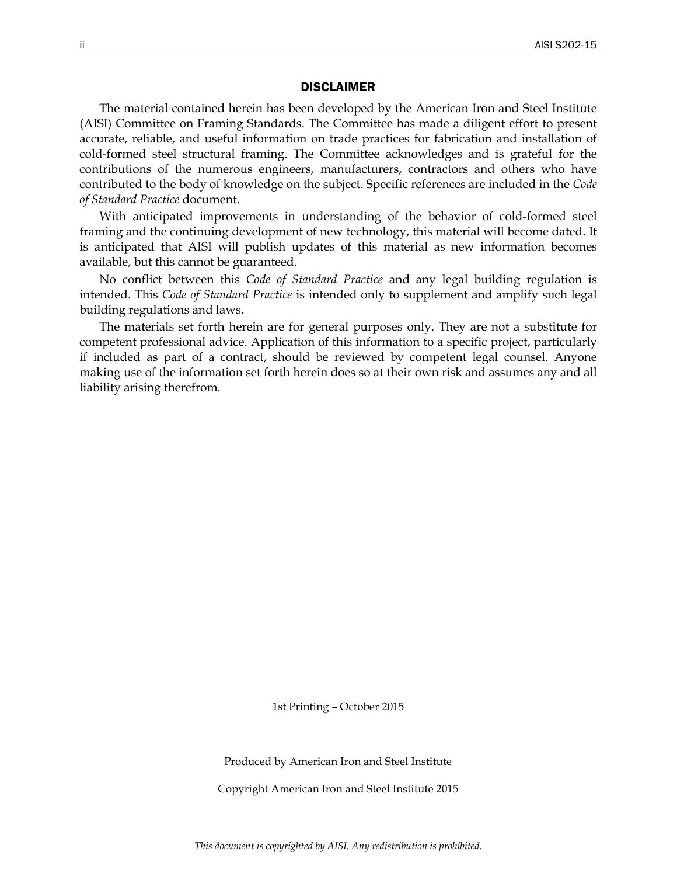#### DISCLAIMER

The material contained herein has been developed by the American Iron and Steel Institute (AISI) Committee on Framing Standards. The Committee has made a diligent effort to present accurate, reliable, and useful information on trade practices for fabrication and installation of cold-formed steel structural framing. The Committee acknowledges and is grateful for the contributions of the numerous engineers, manufacturers, contractors and others who have contributed to the body of knowledge on the subject. Specific references are included in the *Code of Standard Practice* document.

With anticipated improvements in understanding of the behavior of cold-formed steel framing and the continuing development of new technology, this material will become dated. It is anticipated that AISI will publish updates of this material as new information becomes available, but this cannot be guaranteed.

No conflict between this *Code of Standard Practice* and any legal building regulation is intended. This *Code of Standard Practice* is intended only to supplement and amplify such legal building regulations and laws.

The materials set forth herein are for general purposes only. They are not a substitute for competent professional advice. Application of this information to a specific project, particularly if included as part of a contract, should be reviewed by competent legal counsel. Anyone making use of the information set forth herein does so at their own risk and assumes any and all liability arising therefrom.

1st Printing – October 2015

Produced by American Iron and Steel Institute

Copyright American Iron and Steel Institute 2015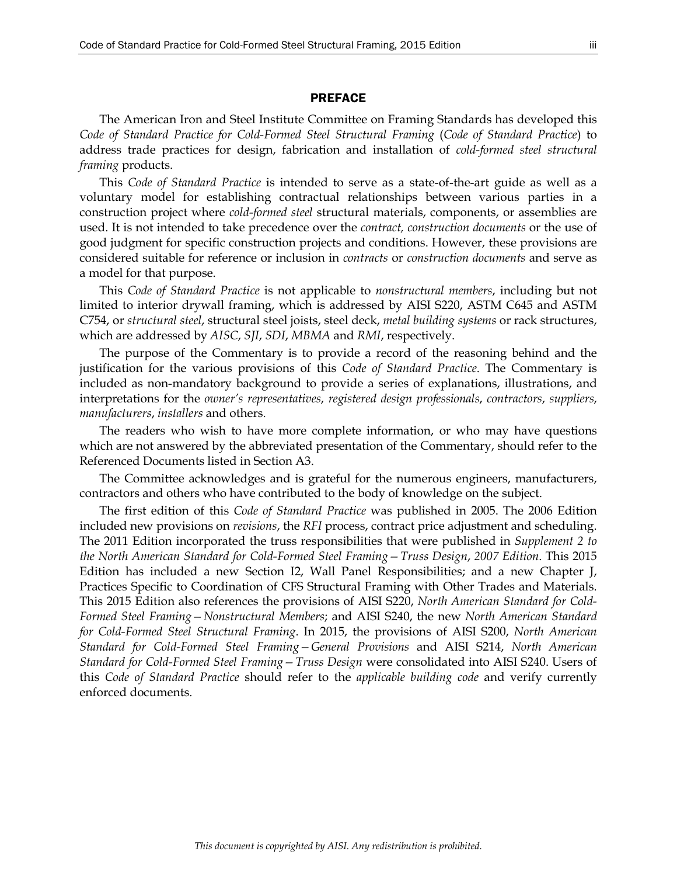#### PREFACE

The American Iron and Steel Institute Committee on Framing Standards has developed this *Code of Standard Practice for Cold-Formed Steel Structural Framing* (*Code of Standard Practice*) to address trade practices for design, fabrication and installation of *cold-formed steel structural framing* products.

This *Code of Standard Practice* is intended to serve as a state-of-the-art guide as well as a voluntary model for establishing contractual relationships between various parties in a construction project where *cold-formed steel* structural materials, components, or assemblies are used. It is not intended to take precedence over the *contract, construction documents* or the use of good judgment for specific construction projects and conditions. However, these provisions are considered suitable for reference or inclusion in *contracts* or *construction documents* and serve as a model for that purpose.

This *Code of Standard Practice* is not applicable to *nonstructural members*, including but not limited to interior drywall framing, which is addressed by AISI S220, ASTM C645 and ASTM C754, or *structural steel*, structural steel joists, steel deck, *metal building systems* or rack structures, which are addressed by *AISC*, *SJI*, *SDI*, *MBMA* and *RMI*, respectively.

The purpose of the Commentary is to provide a record of the reasoning behind and the justification for the various provisions of this *Code of Standard Practice*. The Commentary is included as non-mandatory background to provide a series of explanations, illustrations, and interpretations for the *owner's representatives*, *registered design professionals*, *contractors*, *suppliers*, *manufacturers*, *installers* and others.

The readers who wish to have more complete information, or who may have questions which are not answered by the abbreviated presentation of the Commentary, should refer to the Referenced Documents listed in Section A3.

The Committee acknowledges and is grateful for the numerous engineers, manufacturers, contractors and others who have contributed to the body of knowledge on the subject.

The first edition of this *Code of Standard Practice* was published in 2005. The 2006 Edition included new provisions on *revisions*, the *RFI* process, contract price adjustment and scheduling. The 2011 Edition incorporated the truss responsibilities that were published in *Supplement 2 to the North American Standard for Cold-Formed Steel Framing—Truss Design*, *2007 Edition*. This 2015 Edition has included a new Section I2, Wall Panel Responsibilities; and a new Chapter J, Practices Specific to Coordination of CFS Structural Framing with Other Trades and Materials. This 2015 Edition also references the provisions of AISI S220, *North American Standard for Cold-Formed Steel Framing—Nonstructural Members*; and AISI S240, the new *North American Standard for Cold-Formed Steel Structural Framing*. In 2015, the provisions of AISI S200, *North American Standard for Cold-Formed Steel Framing—General Provisions* and AISI S214, *North American Standard for Cold-Formed Steel Framing—Truss Design* were consolidated into AISI S240. Users of this *Code of Standard Practice* should refer to the *applicable building code* and verify currently enforced documents.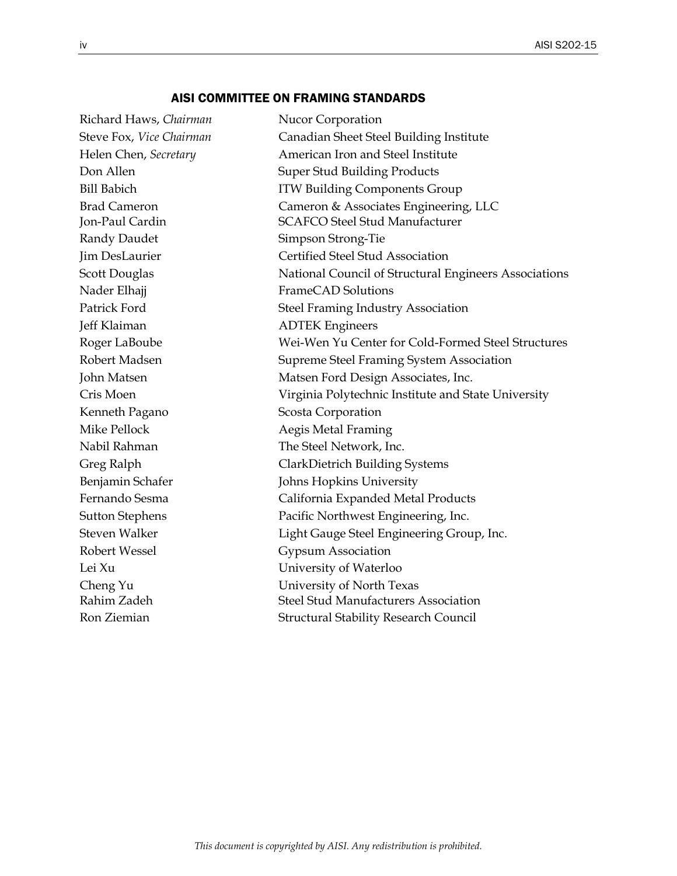# AISI COMMITTEE ON FRAMING STANDARDS

| Richard Haws, Chairman   | Nucor Corporation                                     |
|--------------------------|-------------------------------------------------------|
| Steve Fox, Vice Chairman | Canadian Sheet Steel Building Institute               |
| Helen Chen, Secretary    | American Iron and Steel Institute                     |
| Don Allen                | <b>Super Stud Building Products</b>                   |
| <b>Bill Babich</b>       | <b>ITW Building Components Group</b>                  |
| <b>Brad Cameron</b>      | Cameron & Associates Engineering, LLC                 |
| Jon-Paul Cardin          | <b>SCAFCO Steel Stud Manufacturer</b>                 |
| Randy Daudet             | Simpson Strong-Tie                                    |
| Jim DesLaurier           | Certified Steel Stud Association                      |
| Scott Douglas            | National Council of Structural Engineers Associations |
| Nader Elhajj             | FrameCAD Solutions                                    |
| Patrick Ford             | Steel Framing Industry Association                    |
| Jeff Klaiman             | <b>ADTEK Engineers</b>                                |
| Roger LaBoube            | Wei-Wen Yu Center for Cold-Formed Steel Structures    |
| Robert Madsen            | Supreme Steel Framing System Association              |
| John Matsen              | Matsen Ford Design Associates, Inc.                   |
| Cris Moen                | Virginia Polytechnic Institute and State University   |
| Kenneth Pagano           | Scosta Corporation                                    |
| Mike Pellock             | Aegis Metal Framing                                   |
| Nabil Rahman             | The Steel Network, Inc.                               |
| Greg Ralph               | ClarkDietrich Building Systems                        |
| Benjamin Schafer         | Johns Hopkins University                              |
| Fernando Sesma           | California Expanded Metal Products                    |
| <b>Sutton Stephens</b>   | Pacific Northwest Engineering, Inc.                   |
| <b>Steven Walker</b>     | Light Gauge Steel Engineering Group, Inc.             |
| Robert Wessel            | <b>Gypsum Association</b>                             |
| Lei Xu                   | University of Waterloo                                |
| Cheng Yu                 | University of North Texas                             |
| Rahim Zadeh              | Steel Stud Manufacturers Association                  |
| Ron Ziemian              | <b>Structural Stability Research Council</b>          |
|                          |                                                       |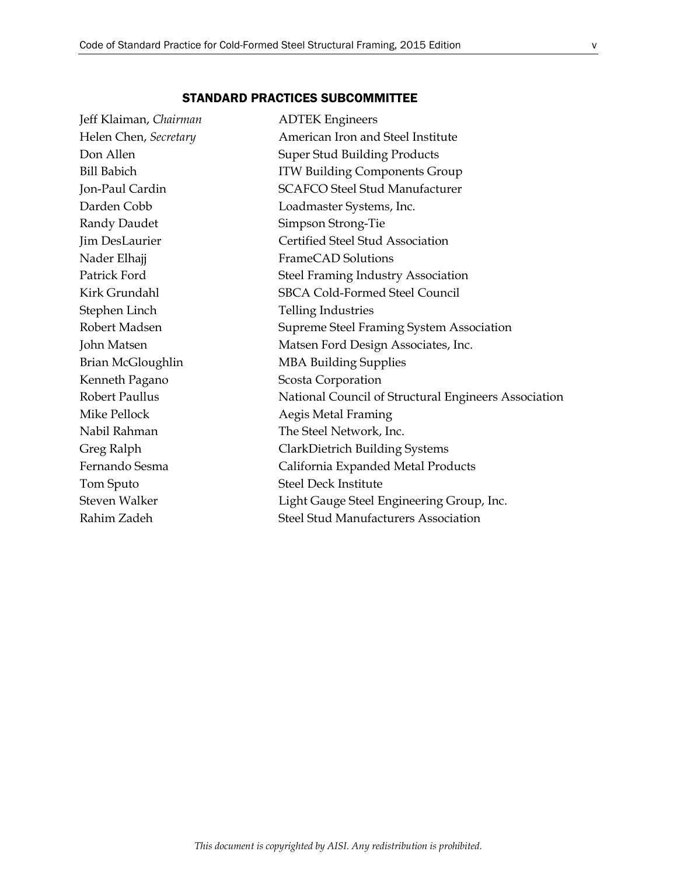# STANDARD PRACTICES SUBCOMMITTEE

Jeff Klaiman, *Chairman* ADTEK Engineers Helen Chen, *Secretary* American Iron and Steel Institute Don Allen Super Stud Building Products Bill Babich ITW Building Components Group Jon-Paul Cardin SCAFCO Steel Stud Manufacturer Darden Cobb Loadmaster Systems, Inc. Randy Daudet Simpson Strong-Tie Jim DesLaurier Certified Steel Stud Association Nader Elhajj FrameCAD Solutions Patrick Ford Steel Framing Industry Association Kirk Grundahl SBCA Cold-Formed Steel Council Stephen Linch Telling Industries Robert Madsen Supreme Steel Framing System Association John Matsen **Matsen Ford Design Associates**, Inc. Brian McGloughlin MBA Building Supplies Kenneth Pagano Scosta Corporation Robert Paullus National Council of Structural Engineers Association Mike Pellock Aegis Metal Framing Nabil Rahman The Steel Network, Inc. Greg Ralph ClarkDietrich Building Systems Fernando Sesma California Expanded Metal Products Tom Sputo Steel Deck Institute Steven Walker **Light Gauge Steel Engineering Group**, Inc. Rahim Zadeh Steel Stud Manufacturers Association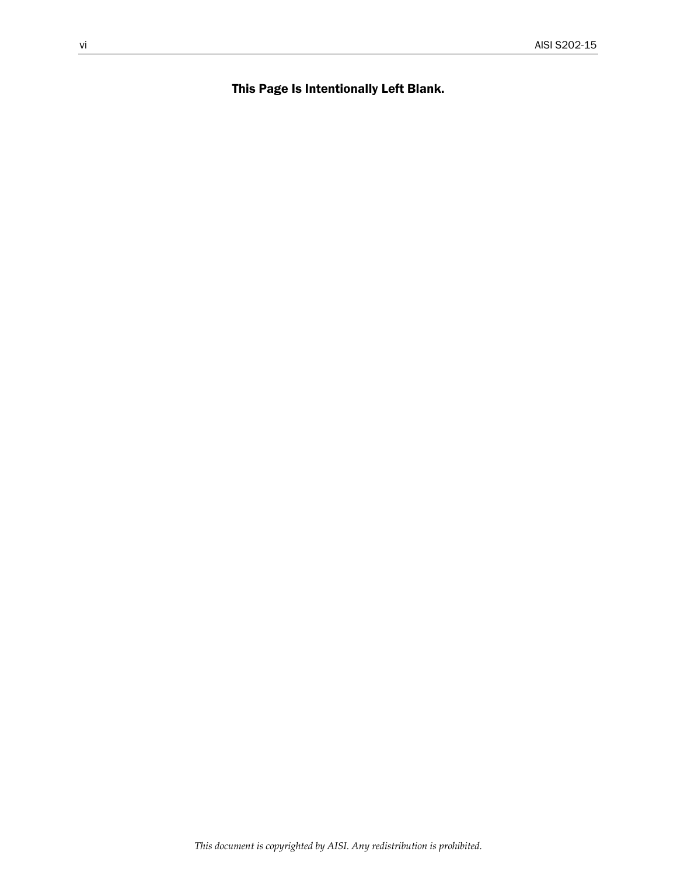This Page Is Intentionally Left Blank.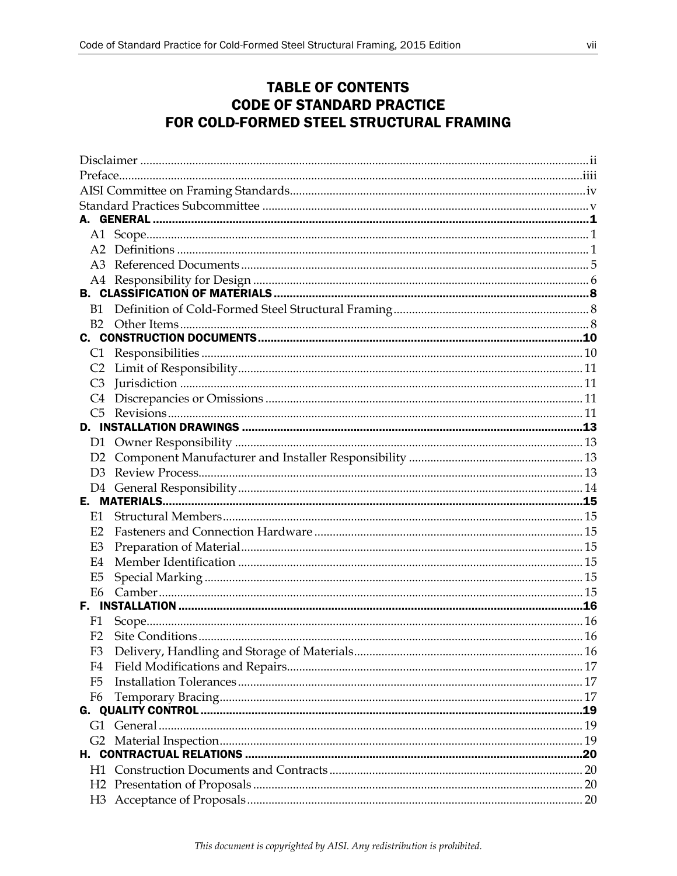# **TABLE OF CONTENTS CODE OF STANDARD PRACTICE** FOR COLD-FORMED STEEL STRUCTURAL FRAMING

| А.             |  |
|----------------|--|
|                |  |
|                |  |
|                |  |
|                |  |
|                |  |
| B1.            |  |
| B2             |  |
|                |  |
|                |  |
|                |  |
| C <sub>3</sub> |  |
|                |  |
|                |  |
|                |  |
|                |  |
|                |  |
|                |  |
|                |  |
|                |  |
| E1             |  |
| E <sub>2</sub> |  |
| E3             |  |
| E4             |  |
| E <sub>5</sub> |  |
| F.             |  |
| F1             |  |
| F <sub>2</sub> |  |
|                |  |
| F4             |  |
| F <sub>5</sub> |  |
| F <sub>6</sub> |  |
|                |  |
|                |  |
|                |  |
|                |  |
|                |  |
|                |  |
|                |  |
|                |  |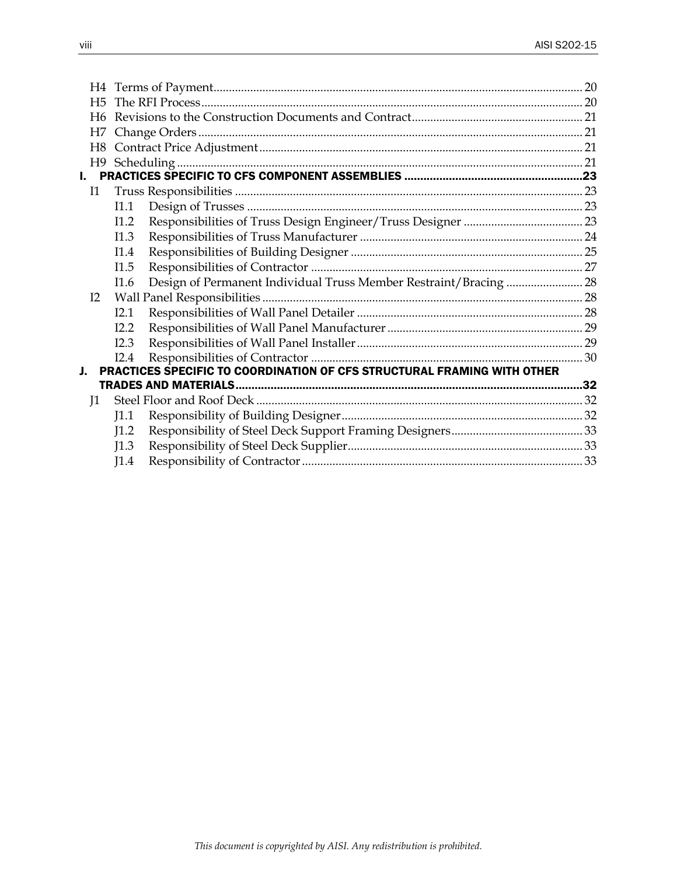| L.              |      |                                                                         |  |
|-----------------|------|-------------------------------------------------------------------------|--|
| $\mathbf{I}$    |      |                                                                         |  |
|                 | I1.1 |                                                                         |  |
|                 | I1.2 |                                                                         |  |
|                 | I1.3 |                                                                         |  |
|                 | I1.4 |                                                                         |  |
|                 | I1.5 |                                                                         |  |
|                 | I1.6 | Design of Permanent Individual Truss Member Restraint/Bracing  28       |  |
| 12 <sup>2</sup> |      |                                                                         |  |
|                 | I2.1 |                                                                         |  |
|                 | I2.2 |                                                                         |  |
|                 | I2.3 |                                                                         |  |
|                 | I2.4 |                                                                         |  |
|                 |      | PRACTICES SPECIFIC TO COORDINATION OF CFS STRUCTURAL FRAMING WITH OTHER |  |
|                 |      |                                                                         |  |
| $\mathsf{I}1$   |      |                                                                         |  |
|                 | I1.1 |                                                                         |  |
|                 | I1.2 |                                                                         |  |
|                 | I1.3 |                                                                         |  |
|                 | J1.4 |                                                                         |  |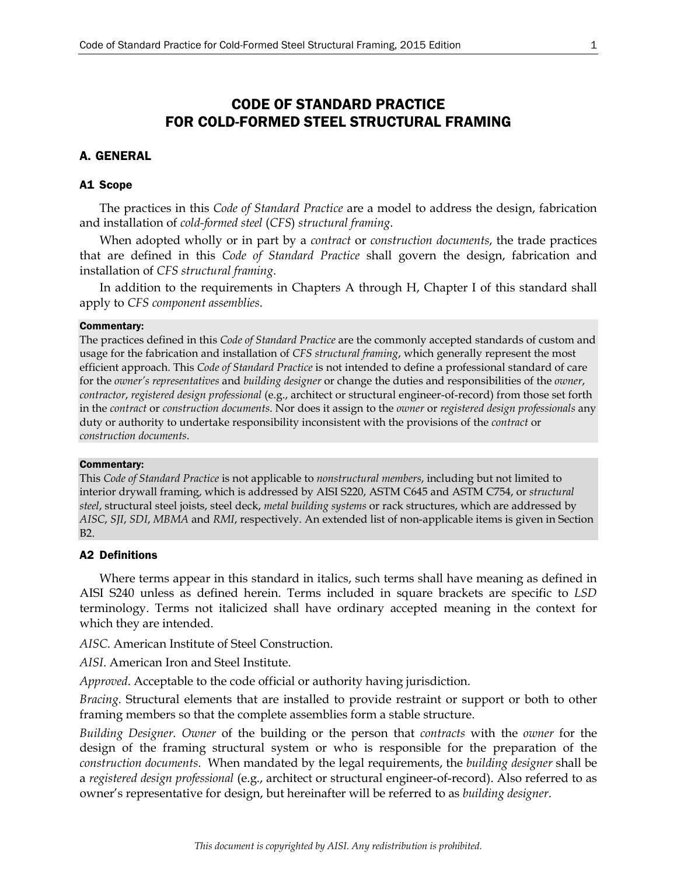# CODE OF STANDARD PRACTICE FOR COLD-FORMED STEEL STRUCTURAL FRAMING

### A. GENERAL

#### A1 Scope

The practices in this *Code of Standard Practice* are a model to address the design, fabrication and installation of *cold-formed steel* (*CFS*) *structural framing*.

When adopted wholly or in part by a *contract* or *construction documents*, the trade practices that are defined in this *Code of Standard Practice* shall govern the design, fabrication and installation of *CFS structural framing*.

In addition to the requirements in Chapters A through H, Chapter I of this standard shall apply to *CFS component assemblies*.

#### Commentary**:**

The practices defined in this *Code of Standard Practice* are the commonly accepted standards of custom and usage for the fabrication and installation of *CFS structural framing*, which generally represent the most efficient approach. This *Code of Standard Practice* is not intended to define a professional standard of care for the *owner's representatives* and *building designer* or change the duties and responsibilities of the *owner*, *contractor*, *registered design professional* (e.g., architect or structural engineer-of-record) from those set forth in the *contract* or *construction documents*. Nor does it assign to the *owner* or *registered design professionals* any duty or authority to undertake responsibility inconsistent with the provisions of the *contract* or *construction documents*.

#### Commentary**:**

This *Code of Standard Practice* is not applicable to *nonstructural members*, including but not limited to interior drywall framing, which is addressed by AISI S220, ASTM C645 and ASTM C754, or *structural steel*, structural steel joists, steel deck, *metal building systems* or rack structures, which are addressed by *AISC*, *SJI*, *SDI*, *MBMA* and *RMI*, respectively. An extended list of non-applicable items is given in Section B2.

#### A2 Definitions

Where terms appear in this standard in italics, such terms shall have meaning as defined in AISI S240 unless as defined herein. Terms included in square brackets are specific to *LSD* terminology. Terms not italicized shall have ordinary accepted meaning in the context for which they are intended.

*AISC*. American Institute of Steel Construction.

*AISI*. American Iron and Steel Institute.

*Approved*. Acceptable to the code official or authority having jurisdiction.

*Bracing.* Structural elements that are installed to provide restraint or support or both to other framing members so that the complete assemblies form a stable structure.

*Building Designer. Owner* of the building or the person that *contracts* with the *owner* for the design of the framing structural system or who is responsible for the preparation of the *construction documents*. When mandated by the legal requirements, the *building designer* shall be a *registered design professional* (e.g., architect or structural engineer-of-record). Also referred to as owner's representative for design, but hereinafter will be referred to as *building designer*.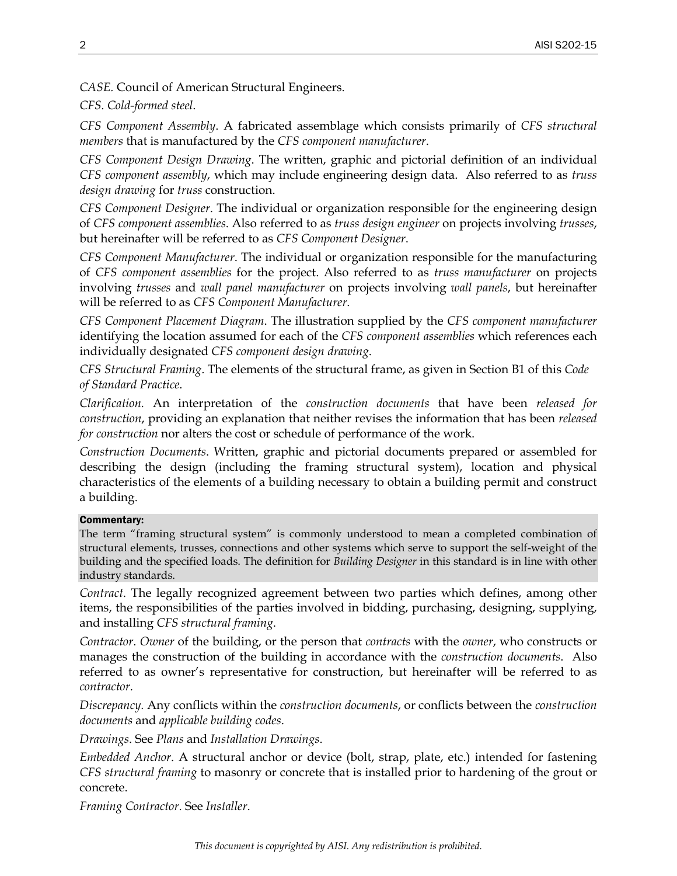*CASE.* Council of American Structural Engineers.

*CFS*. *Cold-formed steel*.

*CFS Component Assembly*. A fabricated assemblage which consists primarily of *CFS structural members* that is manufactured by the *CFS component manufacturer*.

*CFS Component Design Drawing*. The written, graphic and pictorial definition of an individual *CFS component assembly*, which may include engineering design data. Also referred to as *truss design drawing* for *truss* construction.

*CFS Component Designer*. The individual or organization responsible for the engineering design of *CFS component assemblies*. Also referred to as *truss design engineer* on projects involving *trusses*, but hereinafter will be referred to as *CFS Component Designer*.

*CFS Component Manufacturer*. The individual or organization responsible for the manufacturing of *CFS component assemblies* for the project. Also referred to as *truss manufacturer* on projects involving *trusses* and *wall panel manufacturer* on projects involving *wall panels*, but hereinafter will be referred to as *CFS Component Manufacturer*.

*CFS Component Placement Diagram*. The illustration supplied by the *CFS component manufacturer* identifying the location assumed for each of the *CFS component assemblies* which references each individually designated *CFS component design drawing*.

*CFS Structural Framing*. The elements of the structural frame, as given in Section B1 of this *Code of Standard Practice*.

*Clarification.* An interpretation of the *construction documents* that have been *released for construction*, providing an explanation that neither revises the information that has been *released for construction* nor alters the cost or schedule of performance of the work.

*Construction Documents*. Written, graphic and pictorial documents prepared or assembled for describing the design (including the framing structural system), location and physical characteristics of the elements of a building necessary to obtain a building permit and construct a building.

#### Commentary**:**

The term "framing structural system" is commonly understood to mean a completed combination of structural elements, trusses, connections and other systems which serve to support the self-weight of the building and the specified loads. The definition for *Building Designer* in this standard is in line with other industry standards.

*Contract*. The legally recognized agreement between two parties which defines, among other items, the responsibilities of the parties involved in bidding, purchasing, designing, supplying, and installing *CFS structural framing*.

*Contractor*. *Owner* of the building, or the person that *contracts* with the *owner*, who constructs or manages the construction of the building in accordance with the *construction documents*. Also referred to as owner's representative for construction, but hereinafter will be referred to as *contractor*.

*Discrepancy.* Any conflicts within the *construction documents*, or conflicts between the *construction documents* and *applicable building codes*.

*Drawings*. See *Plans* and *Installation Drawings*.

*Embedded Anchor*. A structural anchor or device (bolt, strap, plate, etc.) intended for fastening *CFS structural framing* to masonry or concrete that is installed prior to hardening of the grout or concrete.

*Framing Contractor*. See *Installer*.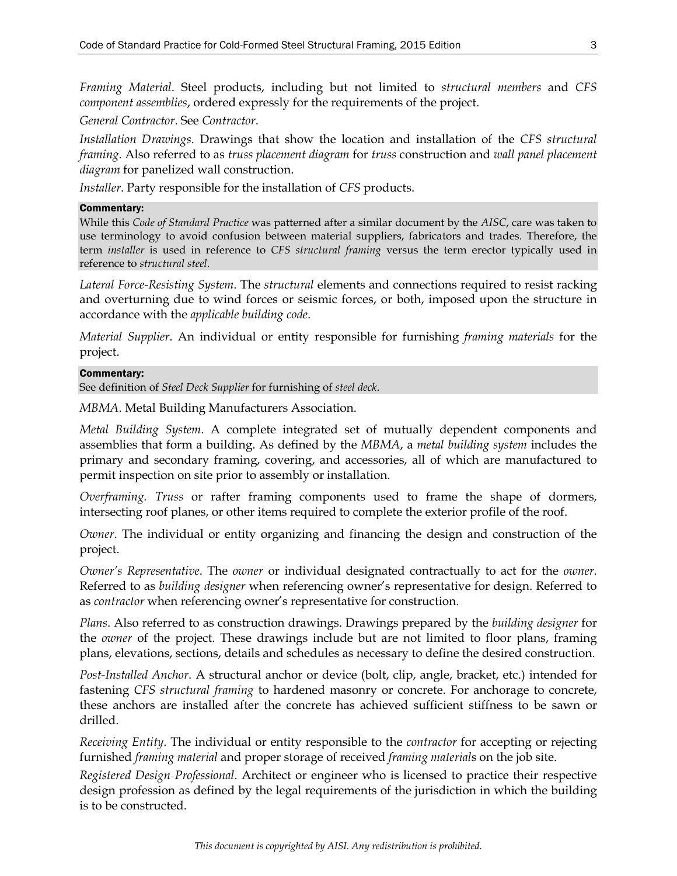*Framing Material*. Steel products, including but not limited to *structural members* and *CFS component assemblies*, ordered expressly for the requirements of the project.

*General Contractor*. See *Contractor*.

*Installation Drawings*. Drawings that show the location and installation of the *CFS structural framing*. Also referred to as *truss placement diagram* for *truss* construction and *wall panel placement diagram* for panelized wall construction.

*Installer*. Party responsible for the installation of *CFS* products.

### Commentary**:**

While this *Code of Standard Practice* was patterned after a similar document by the *AISC*, care was taken to use terminology to avoid confusion between material suppliers, fabricators and trades. Therefore, the term *installer* is used in reference to *CFS structural framing* versus the term erector typically used in reference to *structural steel*.

*Lateral Force-Resisting System*. The *structural* elements and connections required to resist racking and overturning due to wind forces or seismic forces, or both, imposed upon the structure in accordance with the *applicable building code*.

*Material Supplier*. An individual or entity responsible for furnishing *framing materials* for the project.

### Commentary:

See definition of *Steel Deck Supplier* for furnishing of *steel deck*.

*MBMA*. Metal Building Manufacturers Association.

*Metal Building System.* A complete integrated set of mutually dependent components and assemblies that form a building. As defined by the *MBMA*, a *metal building system* includes the primary and secondary framing, covering, and accessories, all of which are manufactured to permit inspection on site prior to assembly or installation.

*Overframing. Truss* or rafter framing components used to frame the shape of dormers, intersecting roof planes, or other items required to complete the exterior profile of the roof.

*Owner*. The individual or entity organizing and financing the design and construction of the project.

*Owner's Representative*. The *owner* or individual designated contractually to act for the *owner*. Referred to as *building designer* when referencing owner's representative for design. Referred to as *contractor* when referencing owner's representative for construction.

*Plans*. Also referred to as construction drawings. Drawings prepared by the *building designer* for the *owner* of the project. These drawings include but are not limited to floor plans, framing plans, elevations, sections, details and schedules as necessary to define the desired construction.

*Post-Installed Anchor*. A structural anchor or device (bolt, clip, angle, bracket, etc.) intended for fastening *CFS structural framing* to hardened masonry or concrete. For anchorage to concrete, these anchors are installed after the concrete has achieved sufficient stiffness to be sawn or drilled.

*Receiving Entity*. The individual or entity responsible to the *contractor* for accepting or rejecting furnished *framing material* and proper storage of received *framing material*s on the job site.

*Registered Design Professional*. Architect or engineer who is licensed to practice their respective design profession as defined by the legal requirements of the jurisdiction in which the building is to be constructed.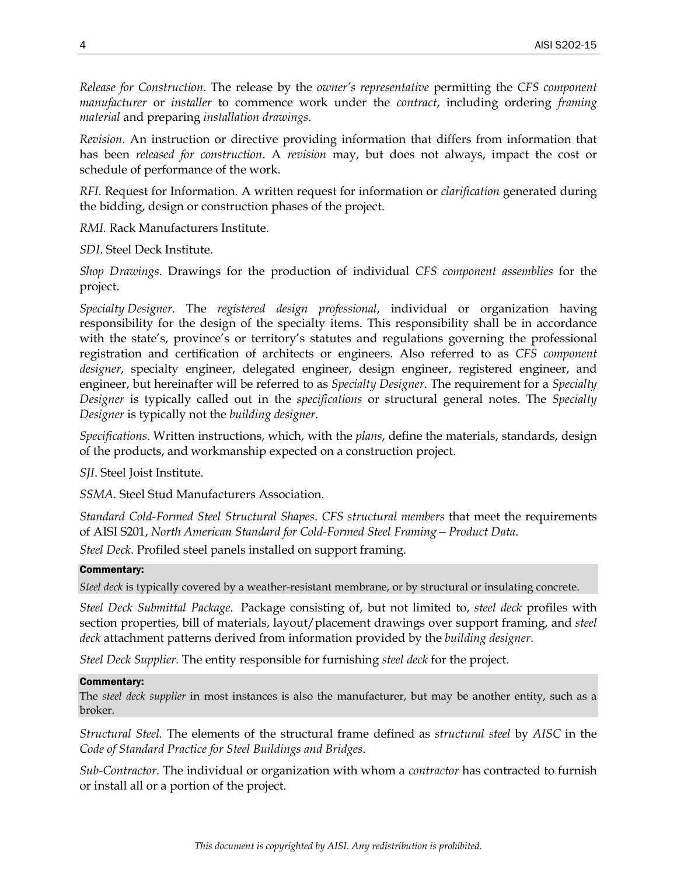*Release for Construction*. The release by the *owner's representative* permitting the *CFS component manufacturer* or *installer* to commence work under the *contract*, including ordering *framing material* and preparing *installation drawings*.

*Revision.* An instruction or directive providing information that differs from information that has been *released for construction*. A *revision* may, but does not always, impact the cost or schedule of performance of the work.

*RFI.* Request for Information. A written request for information or *clarification* generated during the bidding, design or construction phases of the project.

*RMI.* Rack Manufacturers Institute.

*SDI*. Steel Deck Institute.

*Shop Drawings*. Drawings for the production of individual *CFS component assemblies* for the project.

*Specialty Designer*. The *registered design professional*, individual or organization having responsibility for the design of the specialty items. This responsibility shall be in accordance with the state's, province's or territory's statutes and regulations governing the professional registration and certification of architects or engineers. Also referred to as *CFS component designer*, specialty engineer, delegated engineer, design engineer, registered engineer, and engineer, but hereinafter will be referred to as *Specialty Designer*. The requirement for a *Specialty Designer* is typically called out in the *specifications* or structural general notes. The *Specialty Designer* is typically not the *building designer*.

*Specifications*. Written instructions, which, with the *plans*, define the materials, standards, design of the products, and workmanship expected on a construction project.

*SJI*. Steel Joist Institute.

*SSMA.* Steel Stud Manufacturers Association.

*Standard Cold-Formed Steel Structural Shapes*. *CFS structural members* that meet the requirements of AISI S201, *North American Standard for Cold-Formed Steel Framing—Product Data*.

*Steel Deck.* Profiled steel panels installed on support framing.

#### Commentary:

*Steel deck* is typically covered by a weather-resistant membrane, or by structural or insulating concrete.

*Steel Deck Submittal Package.* Package consisting of, but not limited to, *steel deck* profiles with section properties, bill of materials, layout/placement drawings over support framing, and *steel deck* attachment patterns derived from information provided by the *building designer*.

*Steel Deck Supplier.* The entity responsible for furnishing *steel deck* for the project.

#### Commentary:

The *steel deck supplier* in most instances is also the manufacturer, but may be another entity, such as a broker.

*Structural Steel.* The elements of the structural frame defined as *structural steel* by *AISC* in the *Code of Standard Practice for Steel Buildings and Bridges*.

*Sub-Contractor*. The individual or organization with whom a *contractor* has contracted to furnish or install all or a portion of the project.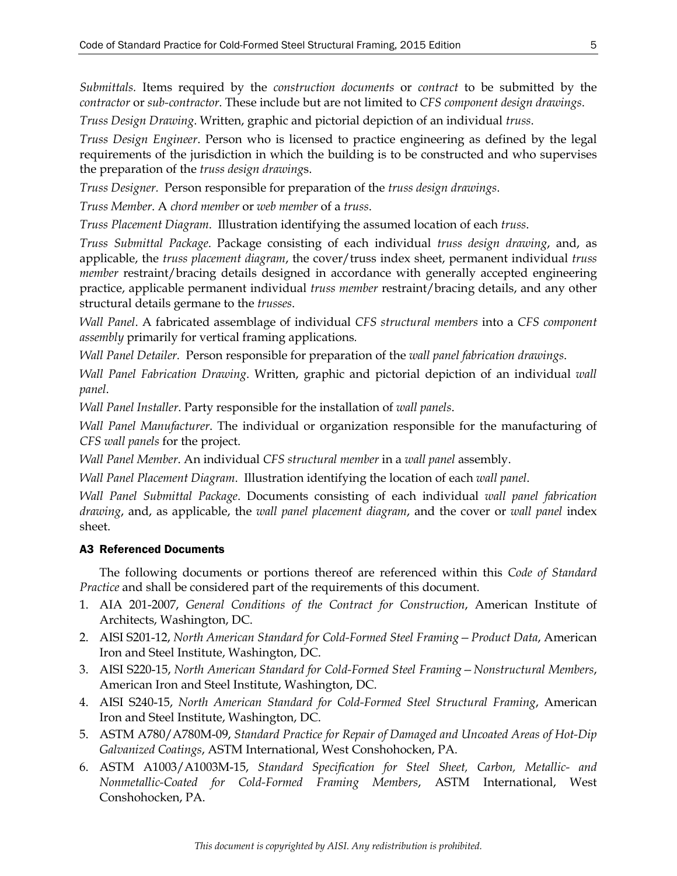*Submittals.* Items required by the *construction documents* or *contract* to be submitted by the *contractor* or *sub-contractor*. These include but are not limited to *CFS component design drawings*.

*Truss Design Drawing*. Written, graphic and pictorial depiction of an individual *truss*.

*Truss Design Engineer*. Person who is licensed to practice engineering as defined by the legal requirements of the jurisdiction in which the building is to be constructed and who supervises the preparation of the *truss design drawing*s.

*Truss Designer.* Person responsible for preparation of the *truss design drawings*.

*Truss Member*. A *chord member* or *web member* of a *truss*.

*Truss Placement Diagram*. Illustration identifying the assumed location of each *truss*.

*Truss Submittal Package*. Package consisting of each individual *truss design drawing*, and, as applicable, the *truss placement diagram*, the cover/truss index sheet, permanent individual *truss member* restraint/bracing details designed in accordance with generally accepted engineering practice, applicable permanent individual *truss member* restraint/bracing details, and any other structural details germane to the *trusses*.

*Wall Panel*. A fabricated assemblage of individual *CFS structural members* into a *CFS component assembly* primarily for vertical framing applications*.*

*Wall Panel Detailer.* Person responsible for preparation of the *wall panel fabrication drawings*.

*Wall Panel Fabrication Drawing*. Written, graphic and pictorial depiction of an individual *wall panel*.

*Wall Panel Installer*. Party responsible for the installation of *wall panels*.

*Wall Panel Manufacturer*. The individual or organization responsible for the manufacturing of *CFS wall panels* for the project.

*Wall Panel Member*. An individual *CFS structural member* in a *wall panel* assembly.

*Wall Panel Placement Diagram*. Illustration identifying the location of each *wall panel*.

*Wall Panel Submittal Package*. Documents consisting of each individual *wall panel fabrication drawing*, and, as applicable, the *wall panel placement diagram*, and the cover or *wall panel* index sheet.

#### A3 Referenced Documents

The following documents or portions thereof are referenced within this *Code of Standard Practice* and shall be considered part of the requirements of this document.

- 1. AIA 201-2007, *General Conditions of the Contract for Construction*, American Institute of Architects, Washington, DC.
- 2. AISI S201-12, *North American Standard for Cold-Formed Steel Framing—Product Data*, American Iron and Steel Institute, Washington, DC.
- 3. AISI S220-15, *North American Standard for Cold-Formed Steel Framing—Nonstructural Members*, American Iron and Steel Institute, Washington, DC.
- 4. AISI S240-15, *North American Standard for Cold-Formed Steel Structural Framing*, American Iron and Steel Institute, Washington, DC.
- 5. ASTM A780/A780M-09, *Standard Practice for Repair of Damaged and Uncoated Areas of Hot-Dip Galvanized Coatings*, ASTM International, West Conshohocken, PA.
- 6. ASTM A1003/A1003M-15, *Standard Specification for Steel Sheet, Carbon, Metallic- and Nonmetallic-Coated for Cold-Formed Framing Members*, ASTM International, West Conshohocken, PA.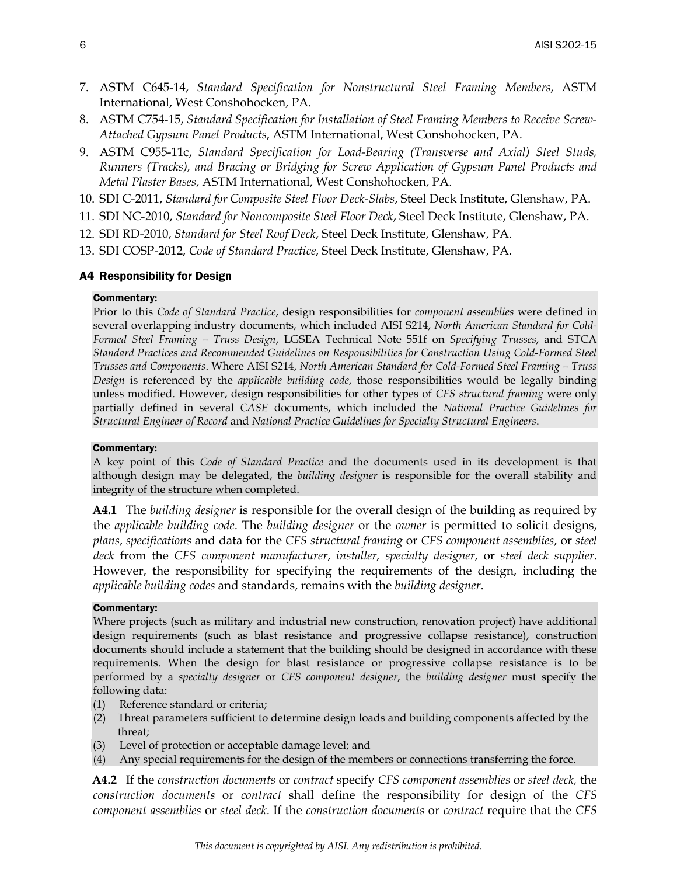- 7. ASTM C645-14, *Standard Specification for Nonstructural Steel Framing Members*, ASTM International, West Conshohocken, PA.
- 8. ASTM C754-15, *Standard Specification for Installation of Steel Framing Members to Receive Screw-Attached Gypsum Panel Products*, ASTM International, West Conshohocken, PA.
- 9. ASTM C955-11c, *Standard Specification for Load-Bearing (Transverse and Axial) Steel Studs, Runners (Tracks), and Bracing or Bridging for Screw Application of Gypsum Panel Products and Metal Plaster Bases*, ASTM International, West Conshohocken, PA.
- 10. SDI C-2011, *Standard for Composite Steel Floor Deck-Slabs*, Steel Deck Institute, Glenshaw, PA.
- 11. SDI NC-2010, *Standard for Noncomposite Steel Floor Deck*, Steel Deck Institute, Glenshaw, PA.
- 12. SDI RD-2010, *Standard for Steel Roof Deck*, Steel Deck Institute, Glenshaw, PA.
- 13. SDI COSP-2012, *Code of Standard Practice*, Steel Deck Institute, Glenshaw, PA.

#### A4 Responsibility for Design

#### Commentary**:**

Prior to this *Code of Standard Practice*, design responsibilities for *component assemblies* were defined in several overlapping industry documents, which included AISI S214, *North American Standard for Cold-Formed Steel Framing – Truss Design*, LGSEA Technical Note 551f on *Specifying Trusses*, and STCA *Standard Practices and Recommended Guidelines on Responsibilities for Construction Using Cold-Formed Steel Trusses and Components*. Where AISI S214, *North American Standard for Cold-Formed Steel Framing – Truss Design* is referenced by the *applicable building code*, those responsibilities would be legally binding unless modified. However, design responsibilities for other types of *CFS structural framing* were only partially defined in several *CASE* documents, which included the *National Practice Guidelines for Structural Engineer of Record* and *National Practice Guidelines for Specialty Structural Engineers*.

#### Commentary**:**

A key point of this *Code of Standard Practice* and the documents used in its development is that although design may be delegated, the *building designer* is responsible for the overall stability and integrity of the structure when completed.

**A4.1** The *building designer* is responsible for the overall design of the building as required by the *applicable building code*. The *building designer* or the *owner* is permitted to solicit designs, *plans*, *specifications* and data for the *CFS structural framing* or *CFS component assemblies*, or *steel deck* from the *CFS component manufacturer*, *installer, specialty designer*, or *steel deck supplier*. However, the responsibility for specifying the requirements of the design, including the *applicable building codes* and standards, remains with the *building designer*.

#### Commentary:

Where projects (such as military and industrial new construction, renovation project) have additional design requirements (such as blast resistance and progressive collapse resistance), construction documents should include a statement that the building should be designed in accordance with these requirements. When the design for blast resistance or progressive collapse resistance is to be performed by a *specialty designer* or *CFS component designer*, the *building designer* must specify the following data:

- (1) Reference standard or criteria;
- (2) Threat parameters sufficient to determine design loads and building components affected by the threat;
- (3) Level of protection or acceptable damage level; and
- (4) Any special requirements for the design of the members or connections transferring the force.

**A4.2** If the *construction documents* or *contract* specify *CFS component assemblies* or *steel deck,* the *construction documents* or *contract* shall define the responsibility for design of the *CFS component assemblies* or *steel deck*. If the *construction documents* or *contract* require that the *CFS*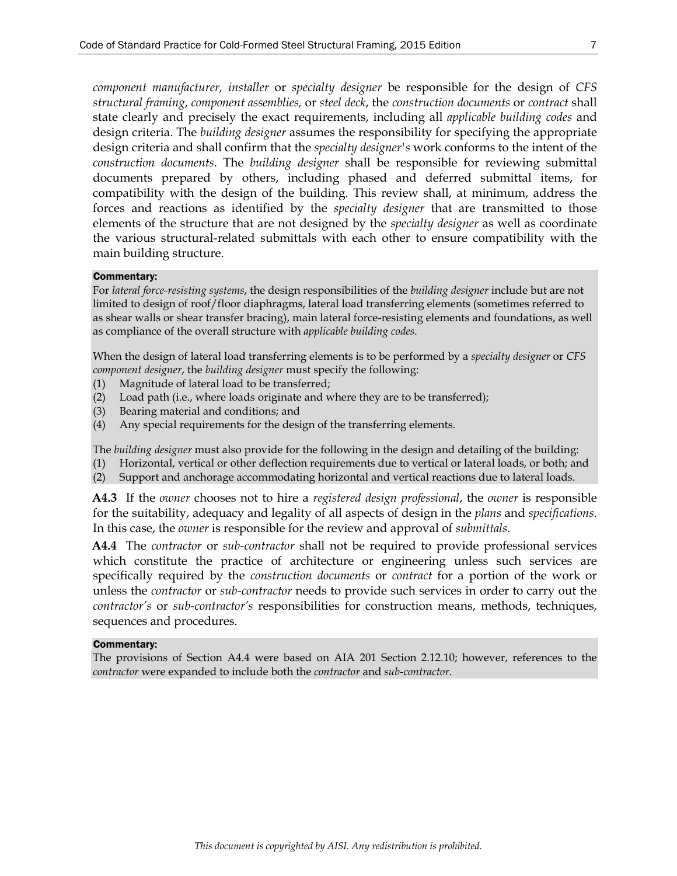*component manufacturer, installer* or *specialty designer* be responsible for the design of *CFS structural framing*, *component assemblies,* or *steel deck*, the *construction documents* or *contract* shall state clearly and precisely the exact requirements, including all *applicable building codes* and design criteria. The *building designer* assumes the responsibility for specifying the appropriate design criteria and shall confirm that the *specialty designer's* work conforms to the intent of the *construction documents*. The *building designer* shall be responsible for reviewing submittal documents prepared by others, including phased and deferred submittal items, for compatibility with the design of the building. This review shall, at minimum, address the forces and reactions as identified by the *specialty designer* that are transmitted to those elements of the structure that are not designed by the *specialty designer* as well as coordinate the various structural-related submittals with each other to ensure compatibility with the main building structure.

#### Commentary**:**

For *lateral force-resisting systems*, the design responsibilities of the *building designer* include but are not limited to design of roof/floor diaphragms, lateral load transferring elements (sometimes referred to as shear walls or shear transfer bracing), main lateral force-resisting elements and foundations, as well as compliance of the overall structure with *applicable building codes*.

When the design of lateral load transferring elements is to be performed by a *specialty designer* or *CFS component designer*, the *building designer* must specify the following:

- (1) Magnitude of lateral load to be transferred;
- (2) Load path (i.e., where loads originate and where they are to be transferred);
- (3) Bearing material and conditions; and
- (4) Any special requirements for the design of the transferring elements.

The *building designer* must also provide for the following in the design and detailing of the building:

- (1) Horizontal, vertical or other deflection requirements due to vertical or lateral loads, or both; and
- (2) Support and anchorage accommodating horizontal and vertical reactions due to lateral loads.

**A4.3** If the *owner* chooses not to hire a *registered design professional*, the *owner* is responsible for the suitability, adequacy and legality of all aspects of design in the *plans* and *specifications*. In this case, the *owner* is responsible for the review and approval of *submittals*.

**A4.4** The *contractor* or *sub-contractor* shall not be required to provide professional services which constitute the practice of architecture or engineering unless such services are specifically required by the *construction documents* or *contract* for a portion of the work or unless the *contractor* or *sub-contractor* needs to provide such services in order to carry out the *contractor's* or *sub-contractor's* responsibilities for construction means, methods, techniques, sequences and procedures.

#### Commentary**:**

The provisions of Section A4.4 were based on AIA 201 Section 2.12.10; however, references to the *contractor* were expanded to include both the *contractor* and *sub-contractor*.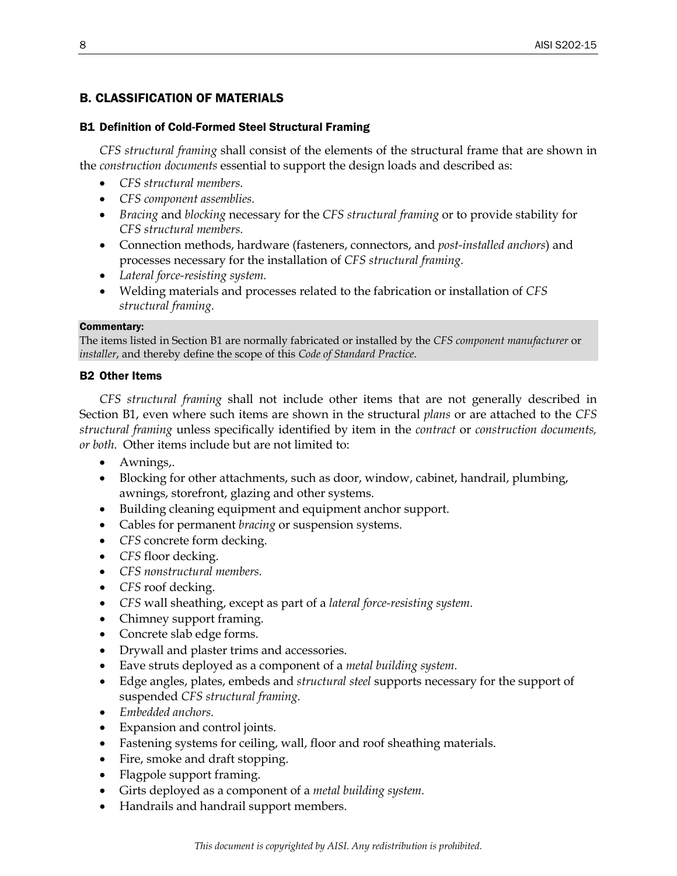# B. CLASSIFICATION OF MATERIALS

# B1 Definition of Cold-Formed Steel Structural Framing

*CFS structural framing* shall consist of the elements of the structural frame that are shown in the *construction documents* essential to support the design loads and described as:

- *CFS structural members.*
- *CFS component assemblies.*
- *Bracing* and *blocking* necessary for the *CFS structural framing* or to provide stability for *CFS structural members.*
- Connection methods, hardware (fasteners, connectors, and *post-installed anchors*) and processes necessary for the installation of *CFS structural framing.*
- *Lateral force-resisting system.*
- Welding materials and processes related to the fabrication or installation of *CFS structural framing.*

### Commentary**:**

The items listed in Section B1 are normally fabricated or installed by the *CFS component manufacturer* or *installer*, and thereby define the scope of this *Code of Standard Practice*.

# B2 Other Items

*CFS structural framing* shall not include other items that are not generally described in Section B1, even where such items are shown in the structural *plans* or are attached to the *CFS structural framing* unless specifically identified by item in the *contract* or *construction documents, or both*. Other items include but are not limited to:

- Awnings,.
- Blocking for other attachments, such as door, window, cabinet, handrail, plumbing, awnings, storefront, glazing and other systems.
- Building cleaning equipment and equipment anchor support.
- Cables for permanent *bracing* or suspension systems.
- *CFS* concrete form decking.
- *CFS* floor decking.
- *CFS nonstructural members.*
- *CFS* roof decking.
- *CFS* wall sheathing, except as part of a *lateral force-resisting system.*
- Chimney support framing.
- Concrete slab edge forms.
- Drywall and plaster trims and accessories.
- Eave struts deployed as a component of a *metal building system.*
- Edge angles, plates, embeds and *structural steel* supports necessary for the support of suspended *CFS structural framing.*
- *Embedded anchors.*
- Expansion and control joints.
- Fastening systems for ceiling, wall, floor and roof sheathing materials.
- Fire, smoke and draft stopping.
- Flagpole support framing.
- Girts deployed as a component of a *metal building system.*
- Handrails and handrail support members.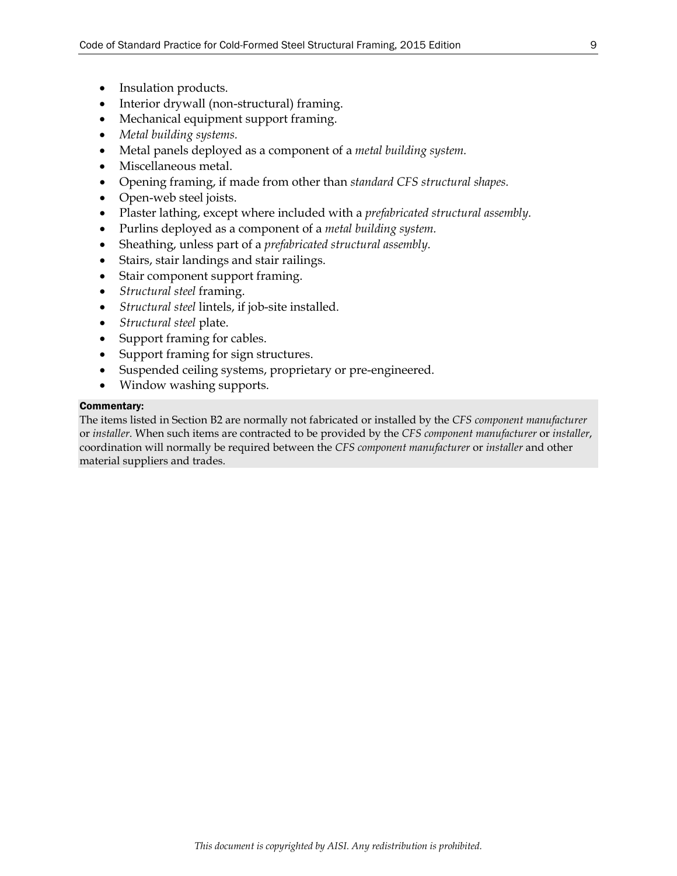- Insulation products.
- Interior drywall (non-structural) framing.
- Mechanical equipment support framing.
- *Metal building systems.*
- Metal panels deployed as a component of a *metal building system.*
- Miscellaneous metal.
- Opening framing, if made from other than *standard CFS structural shapes.*
- Open-web steel joists.
- Plaster lathing, except where included with a *prefabricated structural assembly.*
- Purlins deployed as a component of a *metal building system.*
- Sheathing, unless part of a *prefabricated structural assembly.*
- Stairs, stair landings and stair railings.
- Stair component support framing.
- *Structural steel* framing.
- *Structural steel* lintels, if job-site installed.
- *Structural steel* plate.
- Support framing for cables.
- Support framing for sign structures.
- Suspended ceiling systems, proprietary or pre-engineered.
- Window washing supports.

# Commentary**:**

The items listed in Section B2 are normally not fabricated or installed by the *CFS component manufacturer* or *installer*. When such items are contracted to be provided by the *CFS component manufacturer* or *installer*, coordination will normally be required between the *CFS component manufacturer* or *installer* and other material suppliers and trades.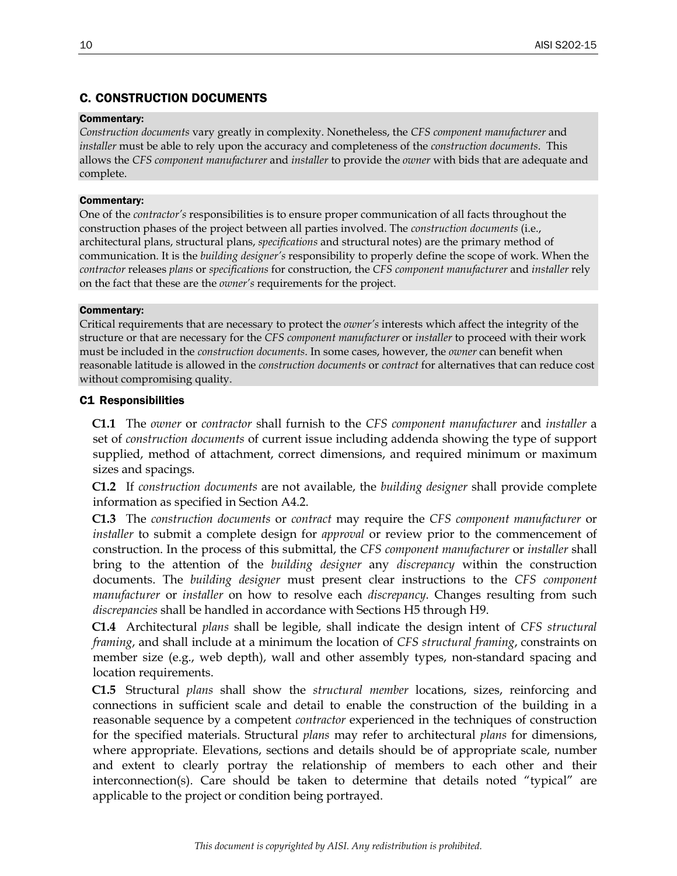# C. CONSTRUCTION DOCUMENTS

#### Commentary**:**

*Construction documents* vary greatly in complexity. Nonetheless, the *CFS component manufacturer* and *installer* must be able to rely upon the accuracy and completeness of the *construction documents*. This allows the *CFS component manufacturer* and *installer* to provide the *owner* with bids that are adequate and complete.

#### Commentary**:**

One of the *contractor's* responsibilities is to ensure proper communication of all facts throughout the construction phases of the project between all parties involved. The *construction documents* (i.e., architectural plans, structural plans, *specifications* and structural notes) are the primary method of communication. It is the *building designer's* responsibility to properly define the scope of work. When the *contractor* releases *plans* or *specifications* for construction, the *CFS component manufacturer* and *installer* rely on the fact that these are the *owner's* requirements for the project.

#### Commentary**:**

Critical requirements that are necessary to protect the *owner's* interests which affect the integrity of the structure or that are necessary for the *CFS component manufacturer* or *installer* to proceed with their work must be included in the *construction documents*. In some cases, however, the *owner* can benefit when reasonable latitude is allowed in the *construction documents* or *contract* for alternatives that can reduce cost without compromising quality.

#### C1 Responsibilities

**C1.1** The *owner* or *contractor* shall furnish to the *CFS component manufacturer* and *installer* a set of *construction documents* of current issue including addenda showing the type of support supplied, method of attachment, correct dimensions, and required minimum or maximum sizes and spacings.

**C1.2** If *construction documents* are not available, the *building designer* shall provide complete information as specified in Section A4.2.

**C1.3** The *construction documents* or *contract* may require the *CFS component manufacturer* or *installer* to submit a complete design for *approval* or review prior to the commencement of construction. In the process of this submittal, the *CFS component manufacturer* or *installer* shall bring to the attention of the *building designer* any *discrepancy* within the construction documents. The *building designer* must present clear instructions to the *CFS component manufacturer* or *installer* on how to resolve each *discrepancy*. Changes resulting from such *discrepancies* shall be handled in accordance with Sections H5 through H9.

**C1.4** Architectural *plans* shall be legible, shall indicate the design intent of *CFS structural framing*, and shall include at a minimum the location of *CFS structural framing*, constraints on member size (e.g., web depth), wall and other assembly types, non-standard spacing and location requirements.

**C1.5** Structural *plans* shall show the *structural member* locations, sizes, reinforcing and connections in sufficient scale and detail to enable the construction of the building in a reasonable sequence by a competent *contractor* experienced in the techniques of construction for the specified materials. Structural *plans* may refer to architectural *plans* for dimensions, where appropriate. Elevations, sections and details should be of appropriate scale, number and extent to clearly portray the relationship of members to each other and their interconnection(s). Care should be taken to determine that details noted "typical" are applicable to the project or condition being portrayed.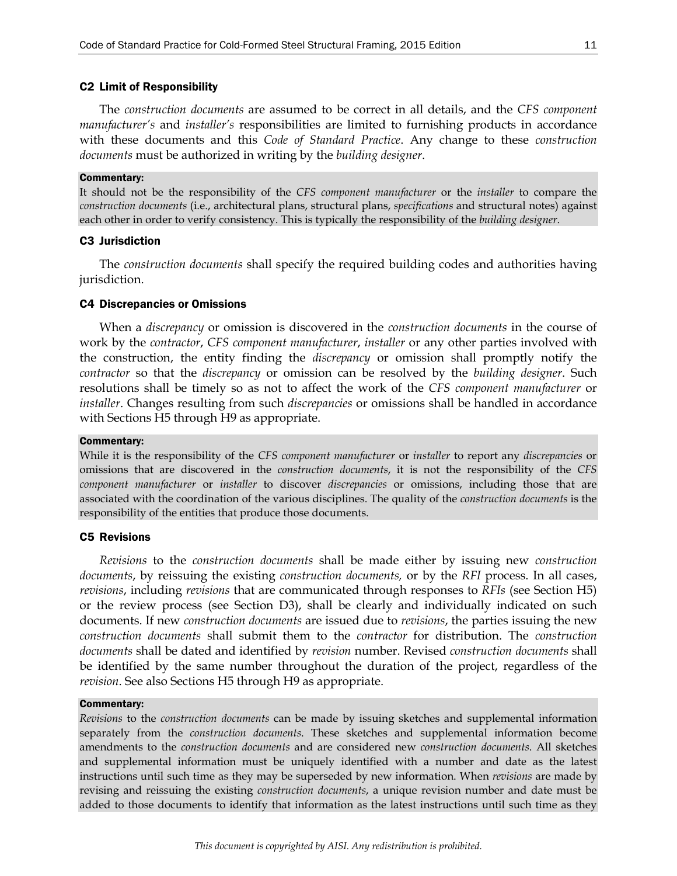#### C2 Limit of Responsibility

The *construction documents* are assumed to be correct in all details, and the *CFS component manufacturer's* and *installer's* responsibilities are limited to furnishing products in accordance with these documents and this *Code of Standard Practice*. Any change to these *construction documents* must be authorized in writing by the *building designer*.

#### Commentary**:**

It should not be the responsibility of the *CFS component manufacturer* or the *installer* to compare the *construction documents* (i.e., architectural plans, structural plans, *specifications* and structural notes) against each other in order to verify consistency. This is typically the responsibility of the *building designer*.

#### C3 Jurisdiction

The *construction documents* shall specify the required building codes and authorities having jurisdiction.

#### C4 Discrepancies or Omissions

When a *discrepancy* or omission is discovered in the *construction documents* in the course of work by the *contractor*, *CFS component manufacturer*, *installer* or any other parties involved with the construction, the entity finding the *discrepancy* or omission shall promptly notify the *contractor* so that the *discrepancy* or omission can be resolved by the *building designer*. Such resolutions shall be timely so as not to affect the work of the *CFS component manufacturer* or *installer*. Changes resulting from such *discrepancies* or omissions shall be handled in accordance with Sections H5 through H9 as appropriate.

#### Commentary**:**

While it is the responsibility of the *CFS component manufacturer* or *installer* to report any *discrepancies* or omissions that are discovered in the *construction documents*, it is not the responsibility of the *CFS component manufacturer* or *installer* to discover *discrepancies* or omissions, including those that are associated with the coordination of the various disciplines. The quality of the *construction documents* is the responsibility of the entities that produce those documents.

#### C5 Revisions

*Revisions* to the *construction documents* shall be made either by issuing new *construction documents*, by reissuing the existing *construction documents,* or by the *RFI* process. In all cases, *revisions*, including *revisions* that are communicated through responses to *RFIs* (see Section H5) or the review process (see Section D3), shall be clearly and individually indicated on such documents. If new *construction documents* are issued due to *revisions*, the parties issuing the new *construction documents* shall submit them to the *contractor* for distribution. The *construction documents* shall be dated and identified by *revision* number. Revised *construction documents* shall be identified by the same number throughout the duration of the project, regardless of the *revision*. See also Sections H5 through H9 as appropriate.

#### Commentary**:**

*Revisions* to the *construction documents* can be made by issuing sketches and supplemental information separately from the *construction documents*. These sketches and supplemental information become amendments to the *construction documents* and are considered new *construction documents*. All sketches and supplemental information must be uniquely identified with a number and date as the latest instructions until such time as they may be superseded by new information. When *revisions* are made by revising and reissuing the existing *construction documents*, a unique revision number and date must be added to those documents to identify that information as the latest instructions until such time as they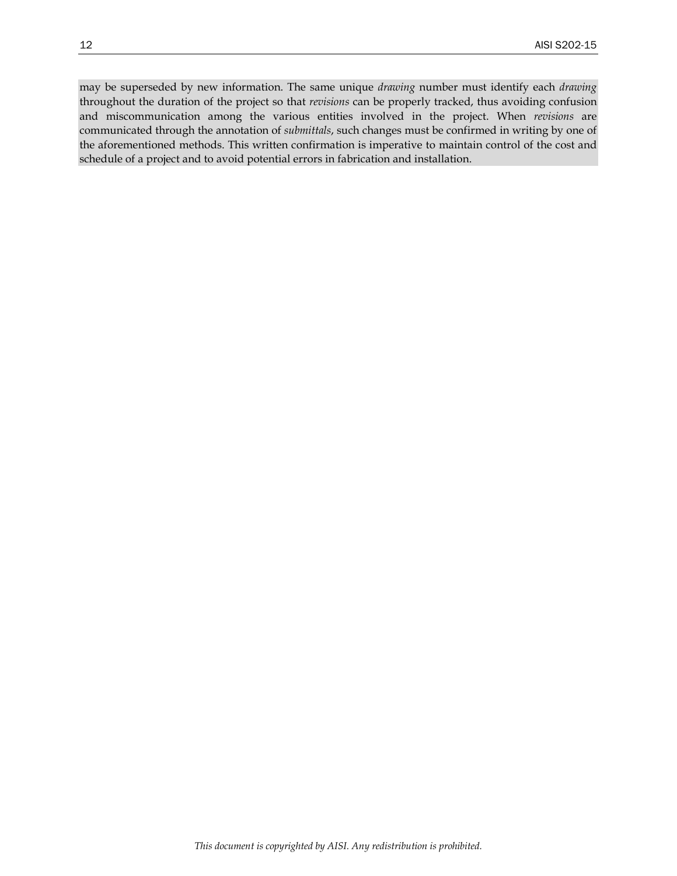may be superseded by new information. The same unique *drawing* number must identify each *drawing* throughout the duration of the project so that *revisions* can be properly tracked, thus avoiding confusion and miscommunication among the various entities involved in the project. When *revisions* are communicated through the annotation of *submittals*, such changes must be confirmed in writing by one of the aforementioned methods. This written confirmation is imperative to maintain control of the cost and schedule of a project and to avoid potential errors in fabrication and installation.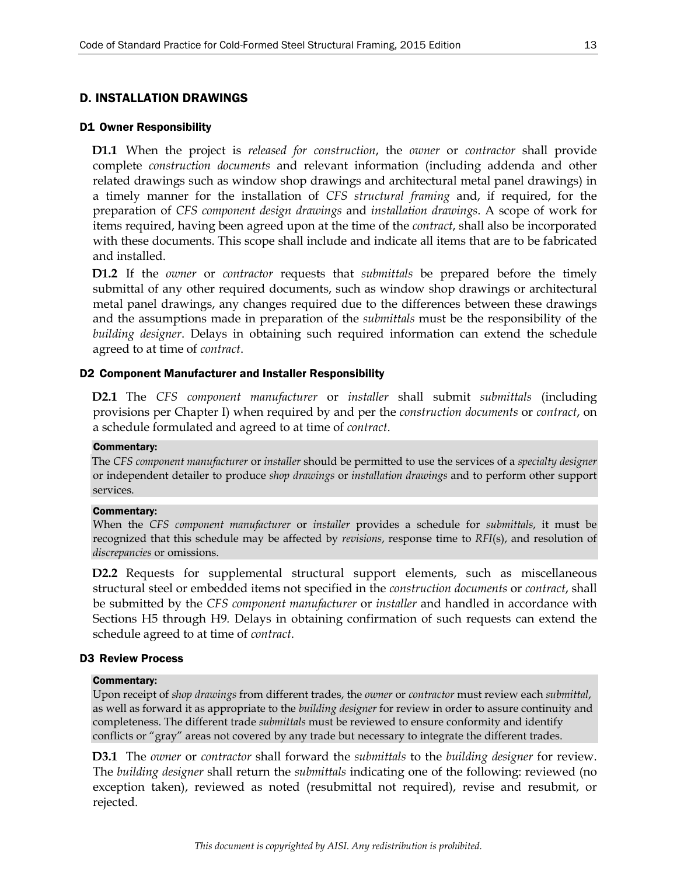#### D1 Owner Responsibility

**D1.1** When the project is *released for construction*, the *owner* or *contractor* shall provide complete *construction documents* and relevant information (including addenda and other related drawings such as window shop drawings and architectural metal panel drawings) in a timely manner for the installation of *CFS structural framing* and, if required, for the preparation of *CFS component design drawings* and *installation drawings*. A scope of work for items required, having been agreed upon at the time of the *contract*, shall also be incorporated with these documents. This scope shall include and indicate all items that are to be fabricated and installed.

**D1.2** If the *owner* or *contractor* requests that *submittals* be prepared before the timely submittal of any other required documents, such as window shop drawings or architectural metal panel drawings, any changes required due to the differences between these drawings and the assumptions made in preparation of the *submittals* must be the responsibility of the *building designer*. Delays in obtaining such required information can extend the schedule agreed to at time of *contract*.

#### D2 Component Manufacturer and Installer Responsibility

**D2.1** The *CFS component manufacturer* or *installer* shall submit *submittals* (including provisions per Chapter I) when required by and per the *construction documents* or *contract*, on a schedule formulated and agreed to at time of *contract*.

#### Commentary**:**

The *CFS component manufacturer* or *installer* should be permitted to use the services of a *specialty designer* or independent detailer to produce *shop drawings* or *installation drawings* and to perform other support services.

#### Commentary**:**

When the *CFS component manufacturer* or *installer* provides a schedule for *submittals*, it must be recognized that this schedule may be affected by *revisions*, response time to *RFI*(s), and resolution of *discrepancies* or omissions.

**D2.2** Requests for supplemental structural support elements, such as miscellaneous structural steel or embedded items not specified in the *construction documents* or *contract*, shall be submitted by the *CFS component manufacturer* or *installer* and handled in accordance with Sections H5 through H9*.* Delays in obtaining confirmation of such requests can extend the schedule agreed to at time of *contract*.

#### D3 Review Process

#### Commentary**:**

Upon receipt of *shop drawings* from different trades, the *owner* or *contractor* must review each *submittal*, as well as forward it as appropriate to the *building designer* for review in order to assure continuity and completeness. The different trade *submittals* must be reviewed to ensure conformity and identify conflicts or "gray" areas not covered by any trade but necessary to integrate the different trades.

**D3.1** The *owner* or *contractor* shall forward the *submittals* to the *building designer* for review. The *building designer* shall return the *submittals* indicating one of the following: reviewed (no exception taken), reviewed as noted (resubmittal not required), revise and resubmit, or rejected.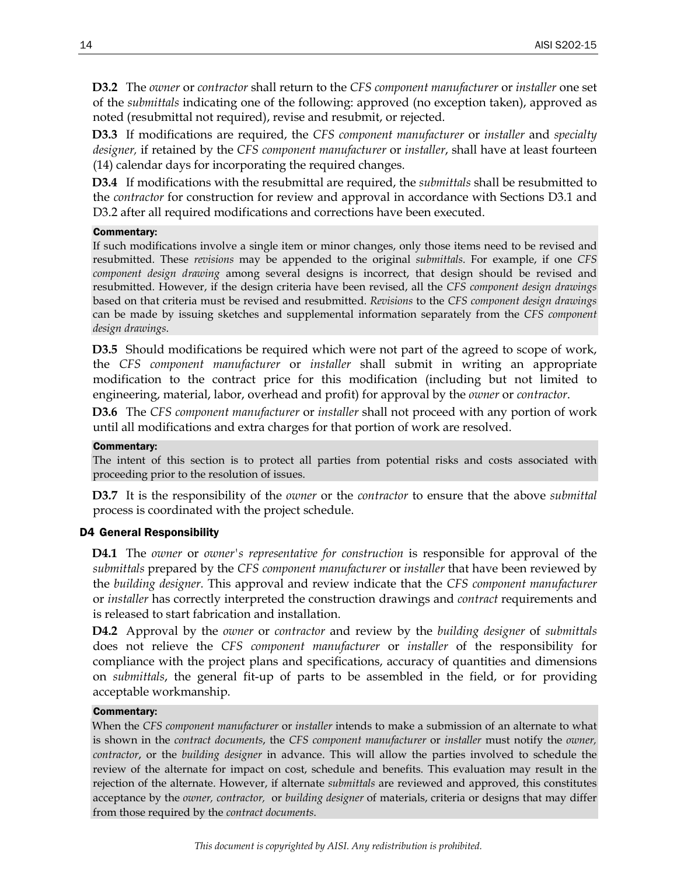**D3.2** The *owner* or *contractor* shall return to the *CFS component manufacturer* or *installer* one set of the *submittals* indicating one of the following: approved (no exception taken), approved as noted (resubmittal not required), revise and resubmit, or rejected.

**D3.3** If modifications are required, the *CFS component manufacturer* or *installer* and *specialty designer,* if retained by the *CFS component manufacturer* or *installer*, shall have at least fourteen (14) calendar days for incorporating the required changes.

**D3.4** If modifications with the resubmittal are required, the *submittals* shall be resubmitted to the *contractor* for construction for review and approval in accordance with Sections D3.1 and D3.2 after all required modifications and corrections have been executed.

#### Commentary**:**

If such modifications involve a single item or minor changes, only those items need to be revised and resubmitted. These *revisions* may be appended to the original *submittals*. For example, if one *CFS component design drawing* among several designs is incorrect, that design should be revised and resubmitted. However, if the design criteria have been revised, all the *CFS component design drawings* based on that criteria must be revised and resubmitted. *Revisions* to the *CFS component design drawings* can be made by issuing sketches and supplemental information separately from the *CFS component design drawings*.

**D3.5** Should modifications be required which were not part of the agreed to scope of work, the *CFS component manufacturer* or *installer* shall submit in writing an appropriate modification to the contract price for this modification (including but not limited to engineering, material, labor, overhead and profit) for approval by the *owner* or *contractor*.

**D3.6** The *CFS component manufacturer* or *installer* shall not proceed with any portion of work until all modifications and extra charges for that portion of work are resolved.

#### Commentary**:**

The intent of this section is to protect all parties from potential risks and costs associated with proceeding prior to the resolution of issues.

**D3.7** It is the responsibility of the *owner* or the *contractor* to ensure that the above *submittal* process is coordinated with the project schedule.

#### D4 General Responsibility

**D4.1** The *owner* or *owner's representative for construction* is responsible for approval of the *submittals* prepared by the *CFS component manufacturer* or *installer* that have been reviewed by the *building designer.* This approval and review indicate that the *CFS component manufacturer* or *installer* has correctly interpreted the construction drawings and *contract* requirements and is released to start fabrication and installation.

**D4.2** Approval by the *owner* or *contractor* and review by the *building designer* of *submittals* does not relieve the *CFS component manufacturer* or *installer* of the responsibility for compliance with the project plans and specifications, accuracy of quantities and dimensions on *submittals*, the general fit-up of parts to be assembled in the field, or for providing acceptable workmanship.

#### Commentary**:**

When the *CFS component manufacturer* or *installer* intends to make a submission of an alternate to what is shown in the *contract documents*, the *CFS component manufacturer* or *installer* must notify the *owner, contractor*, or the *building designer* in advance. This will allow the parties involved to schedule the review of the alternate for impact on cost, schedule and benefits. This evaluation may result in the rejection of the alternate. However, if alternate *submittals* are reviewed and approved, this constitutes acceptance by the *owner, contractor,* or *building designer* of materials, criteria or designs that may differ from those required by the *contract documents*.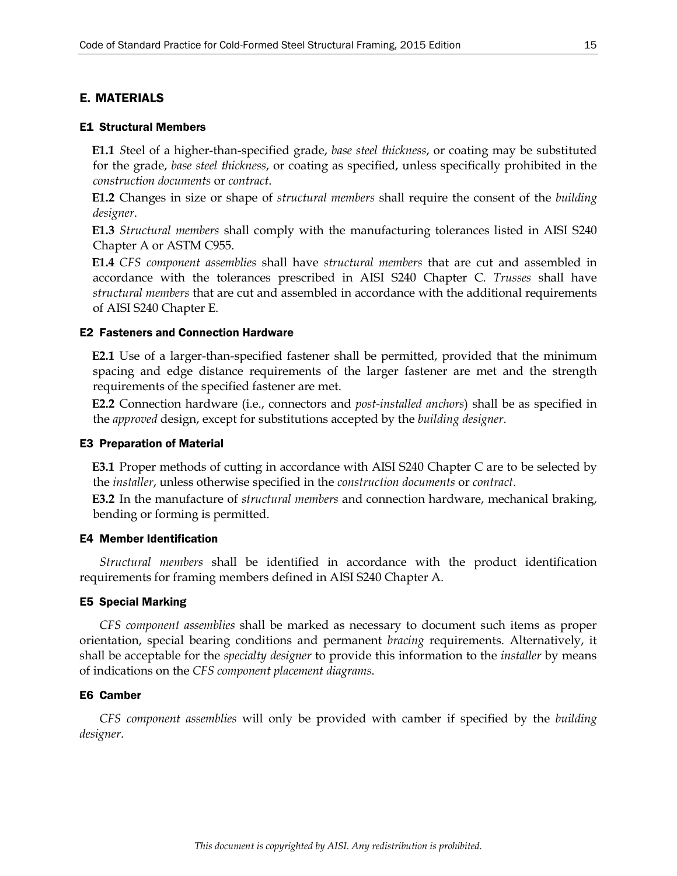# E. MATERIALS

#### E1 Structural Members

**E1.1** *S*teel of a higher-than-specified grade, *base steel thickness*, or coating may be substituted for the grade, *base steel thickness*, or coating as specified, unless specifically prohibited in the *construction documents* or *contract*.

**E1.2** Changes in size or shape of *structural members* shall require the consent of the *building designer*.

**E1.3** *Structural members* shall comply with the manufacturing tolerances listed in AISI S240 Chapter A or ASTM C955.

**E1.4** *CFS component assemblies* shall have *structural members* that are cut and assembled in accordance with the tolerances prescribed in AISI S240 Chapter C. *Trusses* shall have *structural members* that are cut and assembled in accordance with the additional requirements of AISI S240 Chapter E.

#### E2 Fasteners and Connection Hardware

**E2.1** Use of a larger-than-specified fastener shall be permitted, provided that the minimum spacing and edge distance requirements of the larger fastener are met and the strength requirements of the specified fastener are met.

**E2.2** Connection hardware (i.e., connectors and *post-installed anchors*) shall be as specified in the *approved* design, except for substitutions accepted by the *building designer*.

#### E3 Preparation of Material

**E3.1** Proper methods of cutting in accordance with AISI S240 Chapter C are to be selected by the *installer*, unless otherwise specified in the *construction documents* or *contract*.

**E3.2** In the manufacture of *structural members* and connection hardware, mechanical braking, bending or forming is permitted.

#### E4 Member Identification

*Structural members* shall be identified in accordance with the product identification requirements for framing members defined in AISI S240 Chapter A.

# E5 Special Marking

*CFS component assemblies* shall be marked as necessary to document such items as proper orientation, special bearing conditions and permanent *bracing* requirements. Alternatively, it shall be acceptable for the *specialty designer* to provide this information to the *installer* by means of indications on the *CFS component placement diagrams*.

#### E6 Camber

*CFS component assemblies* will only be provided with camber if specified by the *building designer*.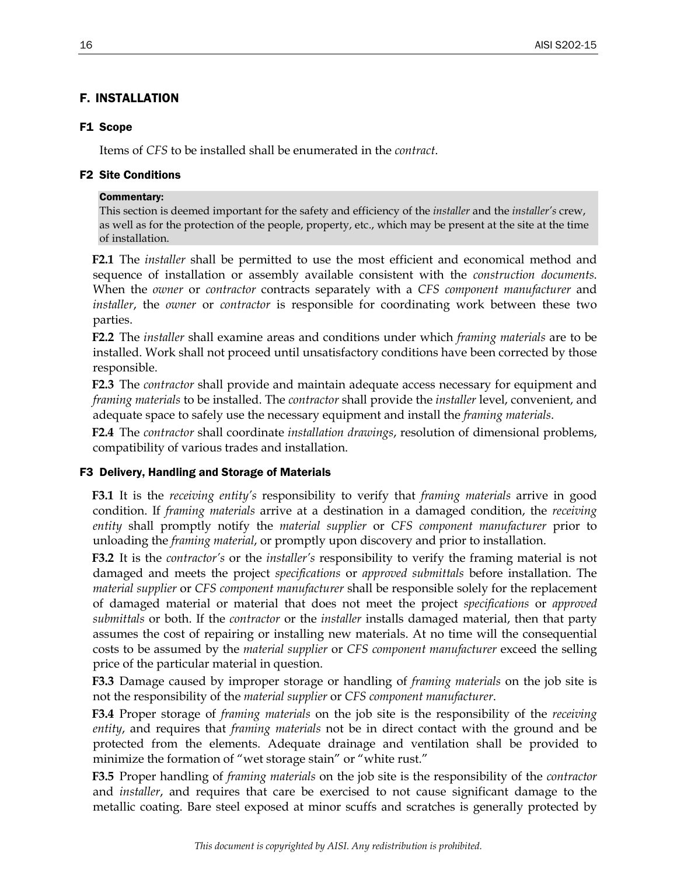# F. INSTALLATION

# F1 Scope

Items of *CFS* to be installed shall be enumerated in the *contract*.

# F2 Site Conditions

# Commentary**:**

This section is deemed important for the safety and efficiency of the *installer* and the *installer's* crew, as well as for the protection of the people, property, etc., which may be present at the site at the time of installation.

**F2.1** The *installer* shall be permitted to use the most efficient and economical method and sequence of installation or assembly available consistent with the *construction documents*. When the *owner* or *contractor* contracts separately with a *CFS component manufacturer* and *installer*, the *owner* or *contractor* is responsible for coordinating work between these two parties.

**F2.2** The *installer* shall examine areas and conditions under which *framing materials* are to be installed. Work shall not proceed until unsatisfactory conditions have been corrected by those responsible.

**F2.3** The *contractor* shall provide and maintain adequate access necessary for equipment and *framing materials* to be installed. The *contractor* shall provide the *installer* level, convenient, and adequate space to safely use the necessary equipment and install the *framing materials*.

**F2.4** The *contractor* shall coordinate *installation drawings*, resolution of dimensional problems, compatibility of various trades and installation.

# F3 Delivery, Handling and Storage of Materials

**F3.1** It is the *receiving entity's* responsibility to verify that *framing materials* arrive in good condition. If *framing materials* arrive at a destination in a damaged condition, the *receiving entity* shall promptly notify the *material supplier* or *CFS component manufacturer* prior to unloading the *framing material*, or promptly upon discovery and prior to installation.

**F3.2** It is the *contractor's* or the *installer's* responsibility to verify the framing material is not damaged and meets the project *specifications* or *approved submittals* before installation. The *material supplier* or *CFS component manufacturer* shall be responsible solely for the replacement of damaged material or material that does not meet the project *specifications* or *approved submittals* or both. If the *contractor* or the *installer* installs damaged material, then that party assumes the cost of repairing or installing new materials. At no time will the consequential costs to be assumed by the *material supplier* or *CFS component manufacturer* exceed the selling price of the particular material in question.

**F3.3** Damage caused by improper storage or handling of *framing materials* on the job site is not the responsibility of the *material supplier* or *CFS component manufacturer*.

**F3.4** Proper storage of *framing materials* on the job site is the responsibility of the *receiving entity*, and requires that *framing materials* not be in direct contact with the ground and be protected from the elements. Adequate drainage and ventilation shall be provided to minimize the formation of "wet storage stain" or "white rust."

**F3.5** Proper handling of *framing materials* on the job site is the responsibility of the *contractor* and *installer*, and requires that care be exercised to not cause significant damage to the metallic coating. Bare steel exposed at minor scuffs and scratches is generally protected by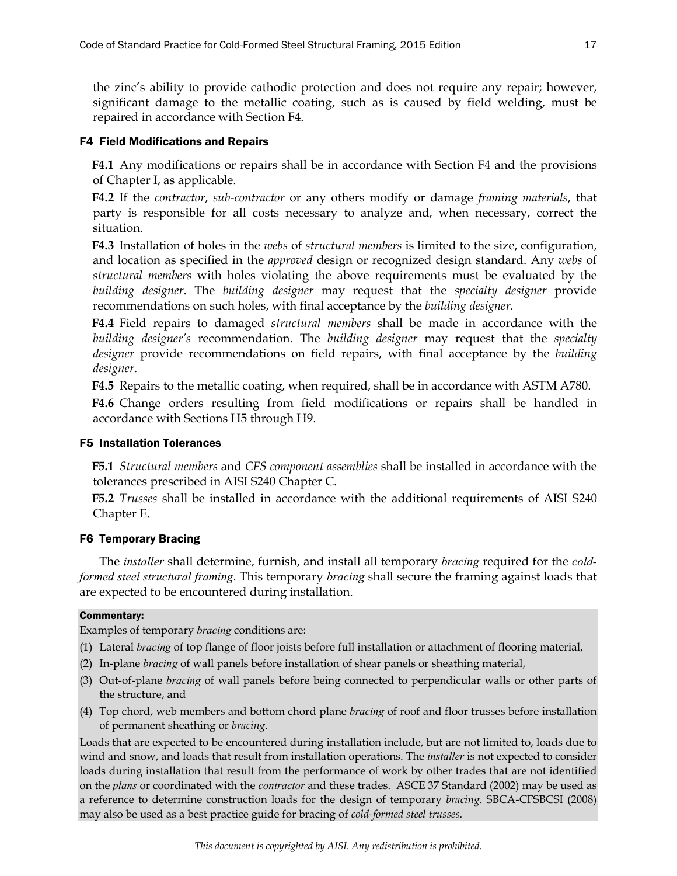the zinc's ability to provide cathodic protection and does not require any repair; however, significant damage to the metallic coating, such as is caused by field welding, must be repaired in accordance with Section F4.

# F4 Field Modifications and Repairs

**F4.1** Any modifications or repairs shall be in accordance with Section F4 and the provisions of Chapter I, as applicable.

**F4.2** If the *contractor*, *sub-contractor* or any others modify or damage *framing materials*, that party is responsible for all costs necessary to analyze and, when necessary, correct the situation.

**F4.3** Installation of holes in the *webs* of *structural members* is limited to the size, configuration, and location as specified in the *approved* design or recognized design standard. Any *webs* of *structural members* with holes violating the above requirements must be evaluated by the *building designer*. The *building designer* may request that the *specialty designer* provide recommendations on such holes, with final acceptance by the *building designer.*

**F4.4** Field repairs to damaged *structural members* shall be made in accordance with the *building designer's* recommendation. The *building designer* may request that the *specialty designer* provide recommendations on field repairs, with final acceptance by the *building designer*.

**F4.5** Repairs to the metallic coating, when required, shall be in accordance with ASTM A780.

**F4.6** Change orders resulting from field modifications or repairs shall be handled in accordance with Sections H5 through H9.

# F5 Installation Tolerances

**F5.1** *Structural members* and *CFS component assemblies* shall be installed in accordance with the tolerances prescribed in AISI S240 Chapter C.

**F5.2** *Trusses* shall be installed in accordance with the additional requirements of AISI S240 Chapter E.

# F6 Temporary Bracing

The *installer* shall determine, furnish, and install all temporary *bracing* required for the *coldformed steel structural framing*. This temporary *bracing* shall secure the framing against loads that are expected to be encountered during installation.

# Commentary:

Examples of temporary *bracing* conditions are:

- (1) Lateral *bracing* of top flange of floor joists before full installation or attachment of flooring material,
- (2) In-plane *bracing* of wall panels before installation of shear panels or sheathing material,
- (3) Out-of-plane *bracing* of wall panels before being connected to perpendicular walls or other parts of the structure, and
- (4) Top chord, web members and bottom chord plane *bracing* of roof and floor trusses before installation of permanent sheathing or *bracing*.

Loads that are expected to be encountered during installation include, but are not limited to, loads due to wind and snow, and loads that result from installation operations. The *installer* is not expected to consider loads during installation that result from the performance of work by other trades that are not identified on the *plans* or coordinated with the *contractor* and these trades. ASCE 37 Standard (2002) may be used as a reference to determine construction loads for the design of temporary *bracing*. SBCA-CFSBCSI (2008) may also be used as a best practice guide for bracing of *cold-formed steel trusses.*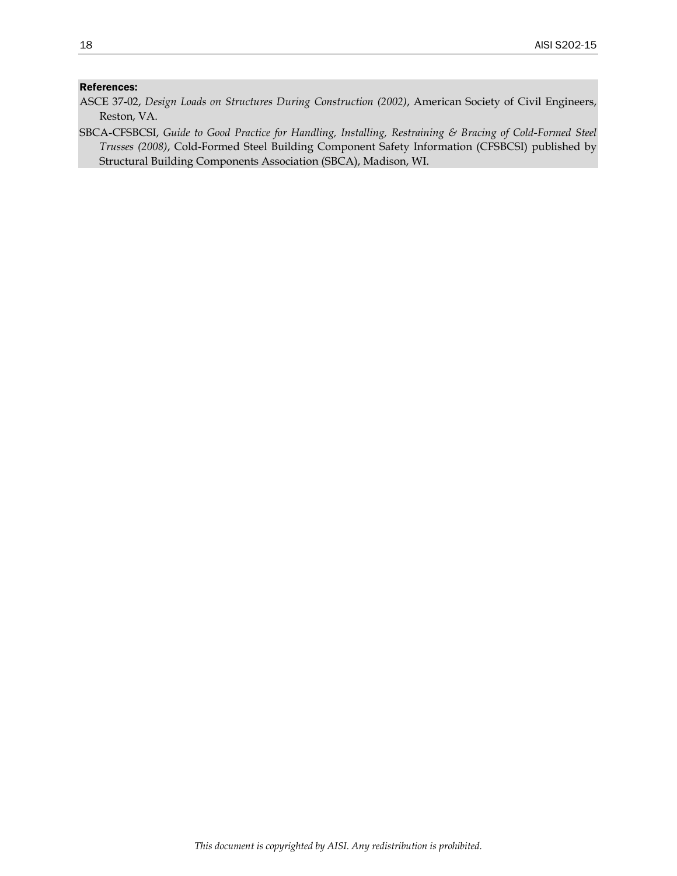#### References:

- ASCE 37-02, *Design Loads on Structures During Construction (2002)*, American Society of Civil Engineers, Reston, VA.
- SBCA-CFSBCSI, *Guide to Good Practice for Handling, Installing, Restraining & Bracing of Cold-Formed Steel Trusses (2008)*, Cold-Formed Steel Building Component Safety Information (CFSBCSI) published by Structural Building Components Association (SBCA), Madison, WI.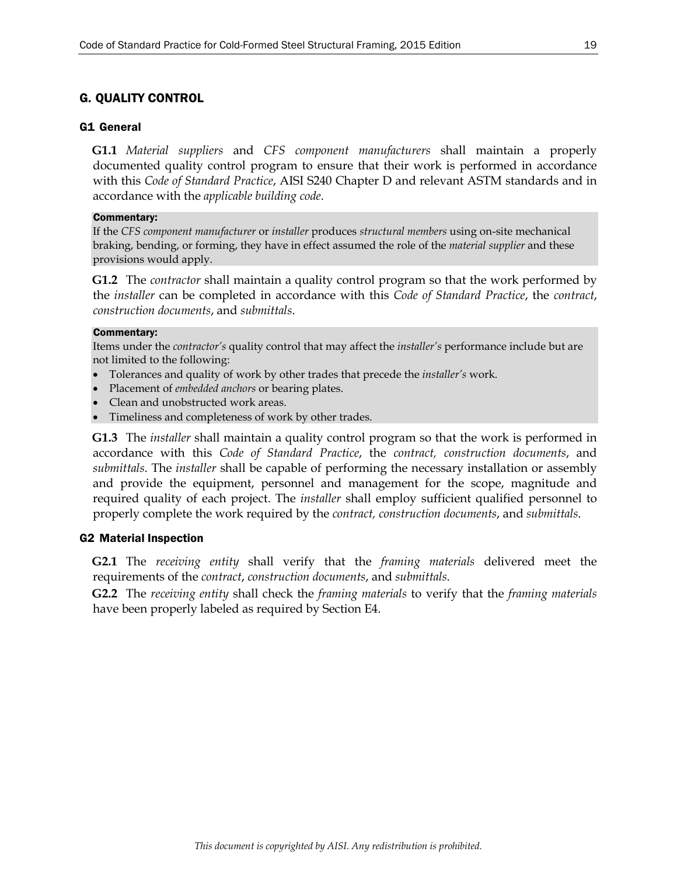# G. QUALITY CONTROL

### G1 General

**G1.1** *Material suppliers* and *CFS component manufacturers* shall maintain a properly documented quality control program to ensure that their work is performed in accordance with this *Code of Standard Practice*, AISI S240 Chapter D and relevant ASTM standards and in accordance with the *applicable building code*.

#### Commentary:

If the *CFS component manufacturer* or *installer* produces *structural members* using on-site mechanical braking, bending, or forming, they have in effect assumed the role of the *material supplier* and these provisions would apply.

**G1.2** The *contractor* shall maintain a quality control program so that the work performed by the *installer* can be completed in accordance with this *Code of Standard Practice*, the *contract*, *construction documents*, and *submittals*.

#### Commentary:

Items under the *contractor's* quality control that may affect the *installer's* performance include but are not limited to the following:

- Tolerances and quality of work by other trades that precede the *installer's* work.
- Placement of *embedded anchors* or bearing plates.
- Clean and unobstructed work areas.
- Timeliness and completeness of work by other trades.

**G1.3** The *installer* shall maintain a quality control program so that the work is performed in accordance with this *Code of Standard Practice*, the *contract, construction documents*, and *submittals*. The *installer* shall be capable of performing the necessary installation or assembly and provide the equipment, personnel and management for the scope, magnitude and required quality of each project. The *installer* shall employ sufficient qualified personnel to properly complete the work required by the *contract, construction documents*, and *submittals*.

#### G2 Material Inspection

**G2.1** The *receiving entity* shall verify that the *framing materials* delivered meet the requirements of the *contract*, *construction documents*, and *submittals*.

**G2.2** The *receiving entity* shall check the *framing materials* to verify that the *framing materials* have been properly labeled as required by Section E4.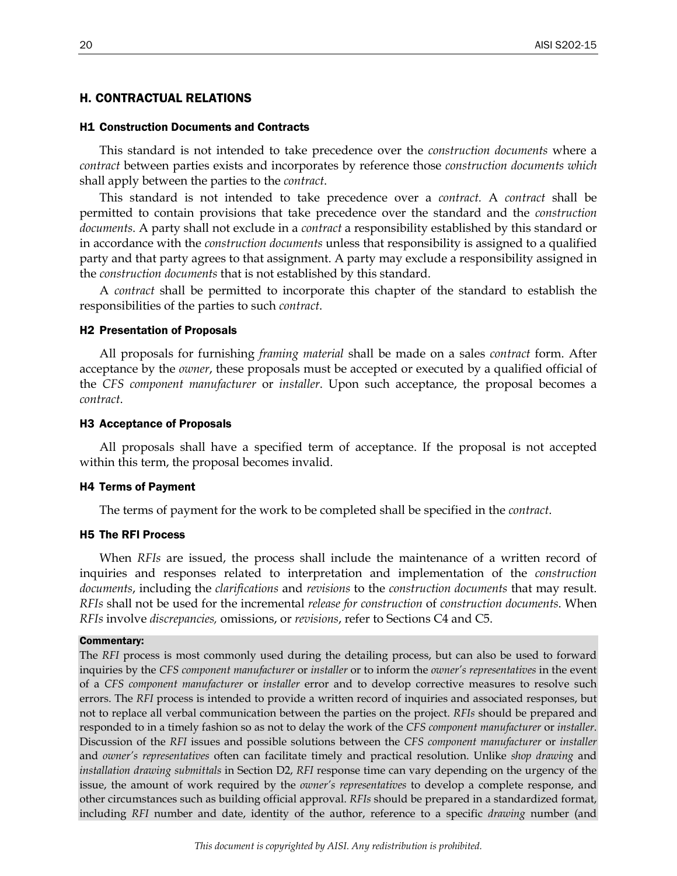#### H. CONTRACTUAL RELATIONS

#### H1 Construction Documents and Contracts

This standard is not intended to take precedence over the *construction documents* where a *contract* between parties exists and incorporates by reference those *construction documents which* shall apply between the parties to the *contract*.

This standard is not intended to take precedence over a *contract.* A *contract* shall be permitted to contain provisions that take precedence over the standard and the *construction documents*. A party shall not exclude in a *contract* a responsibility established by this standard or in accordance with the *construction documents* unless that responsibility is assigned to a qualified party and that party agrees to that assignment. A party may exclude a responsibility assigned in the *construction documents* that is not established by this standard.

A *contract* shall be permitted to incorporate this chapter of the standard to establish the responsibilities of the parties to such *contract*.

#### H2 Presentation of Proposals

All proposals for furnishing *framing material* shall be made on a sales *contract* form. After acceptance by the *owner*, these proposals must be accepted or executed by a qualified official of the *CFS component manufacturer* or *installer*. Upon such acceptance, the proposal becomes a *contract*.

#### H3 Acceptance of Proposals

All proposals shall have a specified term of acceptance. If the proposal is not accepted within this term, the proposal becomes invalid.

#### H4 Terms of Payment

The terms of payment for the work to be completed shall be specified in the *contract*.

#### H5 The RFI Process

When *RFIs* are issued, the process shall include the maintenance of a written record of inquiries and responses related to interpretation and implementation of the *construction documents*, including the *clarifications* and *revisions* to the *construction documents* that may result. *RFIs* shall not be used for the incremental *release for construction* of *construction documents*. When *RFIs* involve *discrepancies,* omissions, or *revisions*, refer to Sections C4 and C5.

#### Commentary:

The *RFI* process is most commonly used during the detailing process, but can also be used to forward inquiries by the *CFS component manufacturer* or *installer* or to inform the *owner's representatives* in the event of a *CFS component manufacturer* or *installer* error and to develop corrective measures to resolve such errors. The *RFI* process is intended to provide a written record of inquiries and associated responses, but not to replace all verbal communication between the parties on the project. *RFIs* should be prepared and responded to in a timely fashion so as not to delay the work of the *CFS component manufacturer* or *installer*. Discussion of the *RFI* issues and possible solutions between the *CFS component manufacturer* or *installer* and *owner's representatives* often can facilitate timely and practical resolution. Unlike *shop drawing* and *installation drawing submittals* in Section D2, *RFI* response time can vary depending on the urgency of the issue, the amount of work required by the *owner's representatives* to develop a complete response, and other circumstances such as building official approval. *RFIs* should be prepared in a standardized format, including *RFI* number and date, identity of the author, reference to a specific *drawing* number (and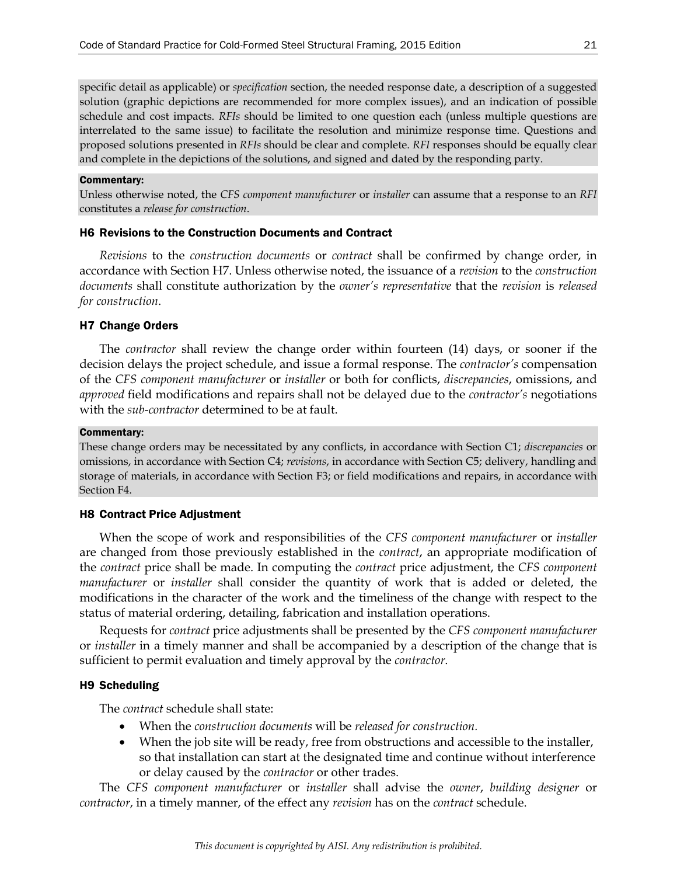specific detail as applicable) or *specification* section, the needed response date, a description of a suggested solution (graphic depictions are recommended for more complex issues), and an indication of possible schedule and cost impacts. *RFIs* should be limited to one question each (unless multiple questions are interrelated to the same issue) to facilitate the resolution and minimize response time. Questions and proposed solutions presented in *RFIs* should be clear and complete. *RFI* responses should be equally clear and complete in the depictions of the solutions, and signed and dated by the responding party.

#### Commentary**:**

Unless otherwise noted, the *CFS component manufacturer* or *installer* can assume that a response to an *RFI* constitutes a *release for construction*.

#### H6 Revisions to the Construction Documents and Contract

*Revisions* to the *construction documents* or *contract* shall be confirmed by change order, in accordance with Section H7. Unless otherwise noted, the issuance of a *revision* to the *construction documents* shall constitute authorization by the *owner's representative* that the *revision* is *released for construction*.

#### H7 Change Orders

The *contractor* shall review the change order within fourteen (14) days, or sooner if the decision delays the project schedule, and issue a formal response. The *contractor's* compensation of the *CFS component manufacturer* or *installer* or both for conflicts, *discrepancies*, omissions, and *approved* field modifications and repairs shall not be delayed due to the *contractor's* negotiations with the *sub*-*contractor* determined to be at fault.

#### Commentary**:**

These change orders may be necessitated by any conflicts, in accordance with Section C1; *discrepancies* or omissions, in accordance with Section C4; *revisions*, in accordance with Section C5; delivery, handling and storage of materials, in accordance with Section F3; or field modifications and repairs, in accordance with Section F4.

#### H8 Contract Price Adjustment

When the scope of work and responsibilities of the *CFS component manufacturer* or *installer* are changed from those previously established in the *contract*, an appropriate modification of the *contract* price shall be made. In computing the *contract* price adjustment, the *CFS component manufacturer* or *installer* shall consider the quantity of work that is added or deleted, the modifications in the character of the work and the timeliness of the change with respect to the status of material ordering, detailing, fabrication and installation operations.

Requests for *contract* price adjustments shall be presented by the *CFS component manufacturer* or *installer* in a timely manner and shall be accompanied by a description of the change that is sufficient to permit evaluation and timely approval by the *contractor*.

#### H9 Scheduling

The *contract* schedule shall state:

- When the *construction documents* will be *released for construction.*
- When the job site will be ready, free from obstructions and accessible to the installer, so that installation can start at the designated time and continue without interference or delay caused by the *contractor* or other trades.

The *CFS component manufacturer* or *installer* shall advise the *owner*, *building designer* or *contractor*, in a timely manner, of the effect any *revision* has on the *contract* schedule.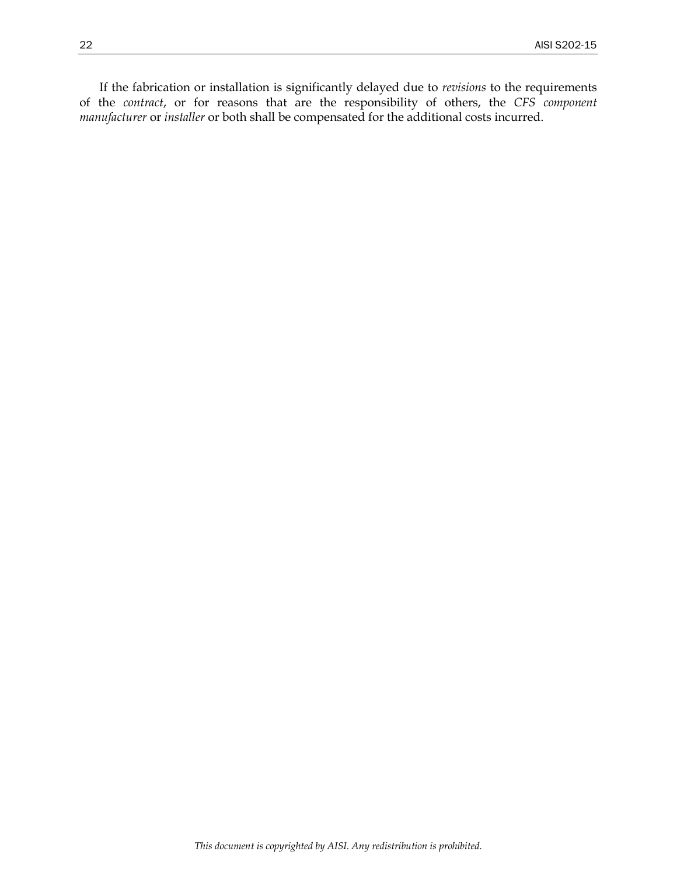If the fabrication or installation is significantly delayed due to *revisions* to the requirements of the *contract*, or for reasons that are the responsibility of others, the *CFS component manufacturer* or *installer* or both shall be compensated for the additional costs incurred.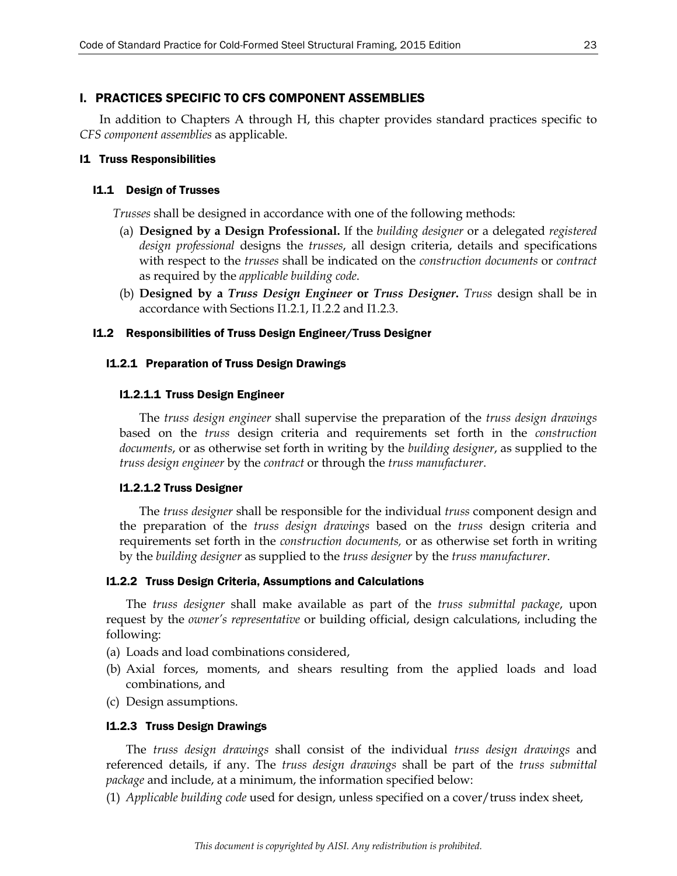# I. PRACTICES SPECIFIC TO CFS COMPONENT ASSEMBLIES

In addition to Chapters A through H, this chapter provides standard practices specific to *CFS component assemblies* as applicable.

#### I1 Truss Responsibilities

#### I1.1 Design of Trusses

*Trusses* shall be designed in accordance with one of the following methods:

- (a) **Designed by a Design Professional.** If the *building designer* or a delegated *registered design professional* designs the *trusses*, all design criteria, details and specifications with respect to the *trusses* shall be indicated on the *construction documents* or *contract* as required by the *applicable building code*.
- (b) **Designed by a** *Truss Design Engineer* **or** *Truss Designer***.** *Truss* design shall be in accordance with Sections I1.2.1, I1.2.2 and I1.2.3.

#### I1.2 Responsibilities of Truss Design Engineer/Truss Designer

#### I1.2.1 Preparation of Truss Design Drawings

#### I1.2.1.1 Truss Design Engineer

The *truss design engineer* shall supervise the preparation of the *truss design drawings* based on the *truss* design criteria and requirements set forth in the *construction documents*, or as otherwise set forth in writing by the *building designer*, as supplied to the *truss design engineer* by the *contract* or through the *truss manufacturer*.

#### I1.2.1.2 Truss Designer

The *truss designer* shall be responsible for the individual *truss* component design and the preparation of the *truss design drawings* based on the *truss* design criteria and requirements set forth in the *construction documents,* or as otherwise set forth in writing by the *building designer* as supplied to the *truss designer* by the *truss manufacturer*.

#### I1.2.2 Truss Design Criteria, Assumptions and Calculations

The *truss designer* shall make available as part of the *truss submittal package*, upon request by the *owner's representative* or building official, design calculations, including the following:

- (a) Loads and load combinations considered,
- (b) Axial forces, moments, and shears resulting from the applied loads and load combinations, and
- (c) Design assumptions.

#### I1.2.3 Truss Design Drawings

The *truss design drawings* shall consist of the individual *truss design drawings* and referenced details, if any. The *truss design drawings* shall be part of the *truss submittal package* and include, at a minimum, the information specified below:

(1) *Applicable building code* used for design, unless specified on a cover/truss index sheet,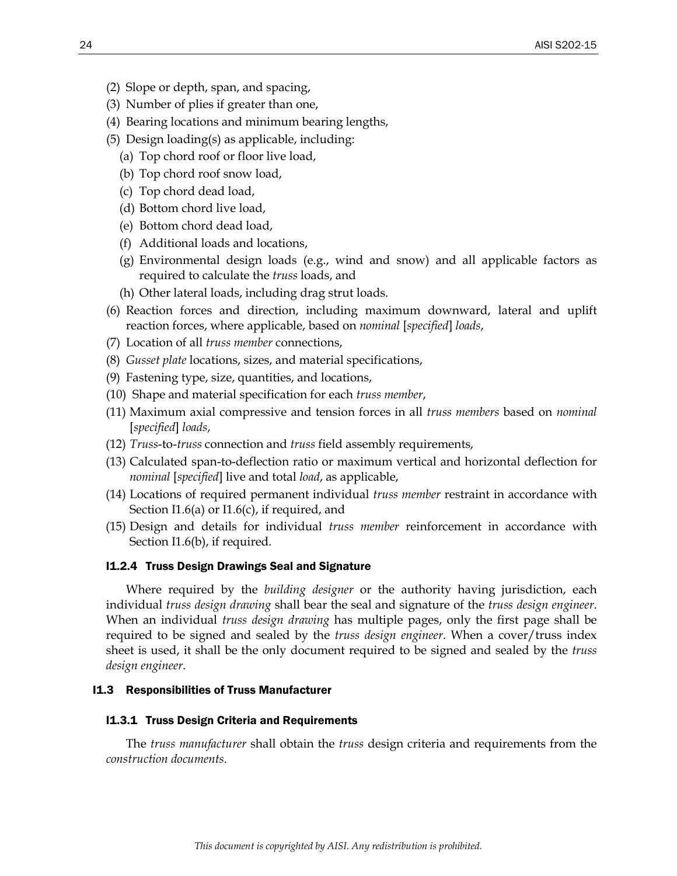- (2) Slope or depth, span, and spacing,
- (3) Number of plies if greater than one,
- (4) Bearing locations and minimum bearing lengths,
- (5) Design loading(s) as applicable, including:
	- (a) Top chord roof or floor live load,
	- (b) Top chord roof snow load,
	- (c) Top chord dead load,
	- (d) Bottom chord live load,
	- (e) Bottom chord dead load,
	- (f) Additional loads and locations,
	- (g) Environmental design loads (e.g., wind and snow) and all applicable factors as required to calculate the *truss* loads, and
	- (h) Other lateral loads, including drag strut loads.
- (6) Reaction forces and direction, including maximum downward, lateral and uplift reaction forces, where applicable, based on *nominal* [*specified*] *loads*,
- (7) Location of all *truss member* connections,
- (8) *Gusset plate* locations, sizes, and material specifications,
- (9) Fastening type, size, quantities, and locations,
- (10) Shape and material specification for each *truss member*,
- (11) Maximum axial compressive and tension forces in all *truss members* based on *nominal* [*specified*] *loads*,
- (12) *Truss*-to-*truss* connection and *truss* field assembly requirements,
- (13) Calculated span-to-deflection ratio or maximum vertical and horizontal deflection for *nominal* [*specified*] live and total *load*, as applicable,
- (14) Locations of required permanent individual *truss member* restraint in accordance with Section I1.6(a) or I1.6(c), if required, and
- (15) Design and details for individual *truss member* reinforcement in accordance with Section I1.6(b), if required.

#### I1.2.4 Truss Design Drawings Seal and Signature

Where required by the *building designer* or the authority having jurisdiction, each individual *truss design drawing* shall bear the seal and signature of the *truss design engineer*. When an individual *truss design drawing* has multiple pages, only the first page shall be required to be signed and sealed by the *truss design engineer*. When a cover/truss index sheet is used, it shall be the only document required to be signed and sealed by the *truss design engineer*.

#### I1.3 Responsibilities of Truss Manufacturer

#### I1.3.1 Truss Design Criteria and Requirements

The *truss manufacturer* shall obtain the *truss* design criteria and requirements from the *construction documents*.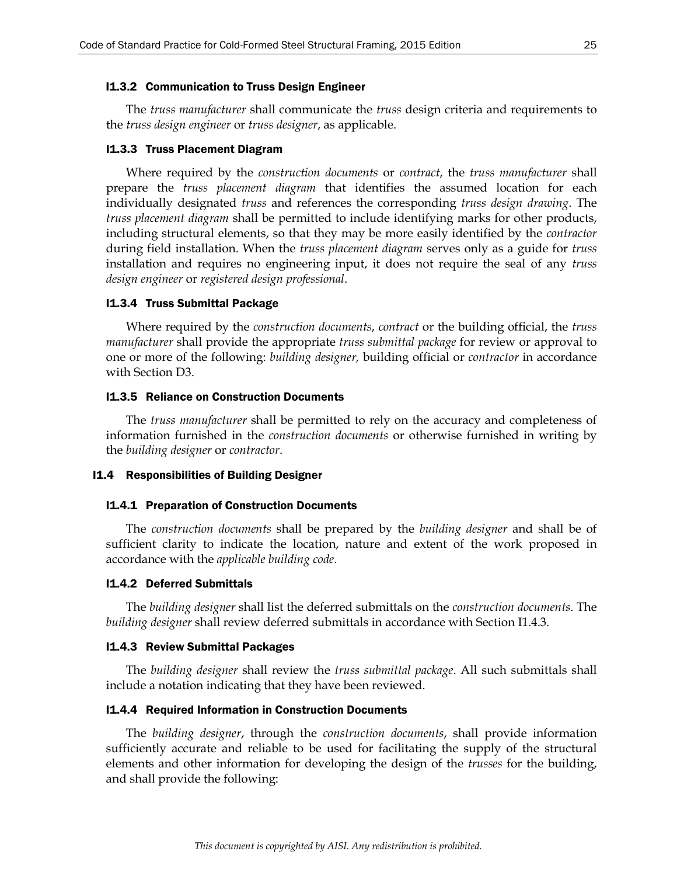### I1.3.2 Communication to Truss Design Engineer

The *truss manufacturer* shall communicate the *truss* design criteria and requirements to the *truss design engineer* or *truss designer*, as applicable.

# I1.3.3 Truss Placement Diagram

Where required by the *construction documents* or *contract*, the *truss manufacturer* shall prepare the *truss placement diagram* that identifies the assumed location for each individually designated *truss* and references the corresponding *truss design drawing*. The *truss placement diagram* shall be permitted to include identifying marks for other products, including structural elements, so that they may be more easily identified by the *contractor* during field installation. When the *truss placement diagram* serves only as a guide for *truss* installation and requires no engineering input, it does not require the seal of any *truss design engineer* or *registered design professional*.

# I1.3.4 Truss Submittal Package

Where required by the *construction documents*, *contract* or the building official, the *truss manufacturer* shall provide the appropriate *truss submittal package* for review or approval to one or more of the following: *building designer,* building official or *contractor* in accordance with Section D3.

# I1.3.5 Reliance on Construction Documents

The *truss manufacturer* shall be permitted to rely on the accuracy and completeness of information furnished in the *construction documents* or otherwise furnished in writing by the *building designer* or *contractor*.

# I1.4 Responsibilities of Building Designer

# I1.4.1 Preparation of Construction Documents

The *construction documents* shall be prepared by the *building designer* and shall be of sufficient clarity to indicate the location, nature and extent of the work proposed in accordance with the *applicable building code*.

# I1.4.2 Deferred Submittals

The *building designer* shall list the deferred submittals on the *construction documents*. The *building designer* shall review deferred submittals in accordance with Section I1.4.3.

# I1.4.3 Review Submittal Packages

The *building designer* shall review the *truss submittal package*. All such submittals shall include a notation indicating that they have been reviewed.

# I1.4.4 Required Information in Construction Documents

The *building designer*, through the *construction documents*, shall provide information sufficiently accurate and reliable to be used for facilitating the supply of the structural elements and other information for developing the design of the *trusses* for the building, and shall provide the following: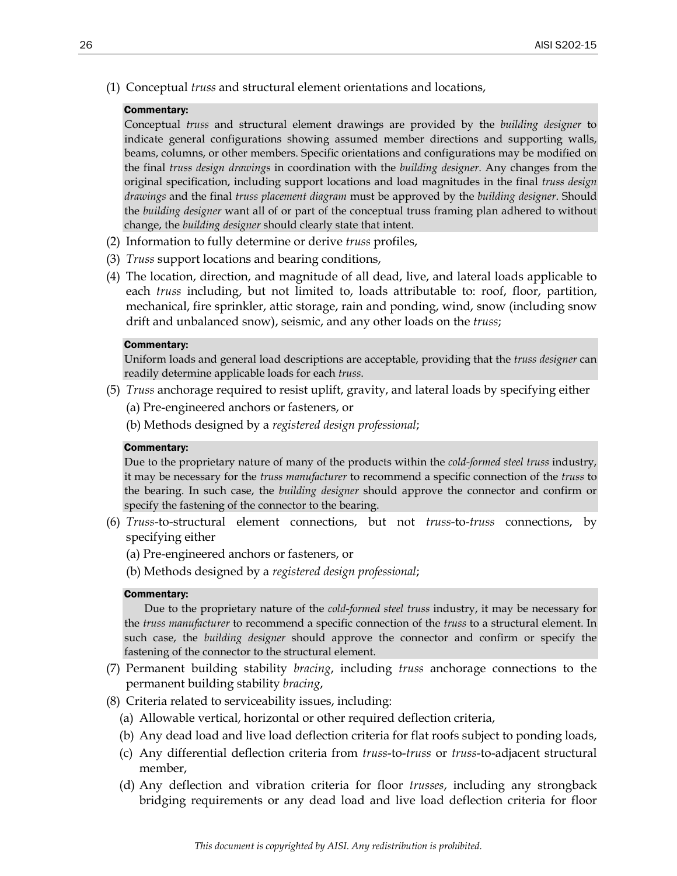(1) Conceptual *truss* and structural element orientations and locations,

#### Commentary**:**

Conceptual *truss* and structural element drawings are provided by the *building designer* to indicate general configurations showing assumed member directions and supporting walls, beams, columns, or other members. Specific orientations and configurations may be modified on the final *truss design drawings* in coordination with the *building designer*. Any changes from the original specification, including support locations and load magnitudes in the final *truss design drawings* and the final *truss placement diagram* must be approved by the *building designer*. Should the *building designer* want all of or part of the conceptual truss framing plan adhered to without change, the *building designer* should clearly state that intent.

- (2) Information to fully determine or derive *truss* profiles,
- (3) *Truss* support locations and bearing conditions,
- (4) The location, direction, and magnitude of all dead, live, and lateral loads applicable to each *truss* including, but not limited to, loads attributable to: roof, floor, partition, mechanical, fire sprinkler, attic storage, rain and ponding, wind, snow (including snow drift and unbalanced snow), seismic, and any other loads on the *truss*;

#### Commentary**:**

Uniform loads and general load descriptions are acceptable, providing that the *truss designer* can readily determine applicable loads for each *truss*.

- (5) *Truss* anchorage required to resist uplift, gravity, and lateral loads by specifying either
	- (a) Pre-engineered anchors or fasteners, or
	- (b) Methods designed by a *registered design professional*;

# Commentary**:**

Due to the proprietary nature of many of the products within the *cold-formed steel truss* industry, it may be necessary for the *truss manufacturer* to recommend a specific connection of the *truss* to the bearing. In such case, the *building designer* should approve the connector and confirm or specify the fastening of the connector to the bearing.

- (6) *Truss*-to-structural element connections, but not *truss*-to-*truss* connections, by specifying either
	- (a) Pre-engineered anchors or fasteners, or
	- (b) Methods designed by a *registered design professional*;

#### Commentary**:**

Due to the proprietary nature of the *cold-formed steel truss* industry, it may be necessary for the *truss manufacturer* to recommend a specific connection of the *truss* to a structural element. In such case, the *building designer* should approve the connector and confirm or specify the fastening of the connector to the structural element.

- (7) Permanent building stability *bracing*, including *truss* anchorage connections to the permanent building stability *bracing*,
- (8) Criteria related to serviceability issues, including:
	- (a) Allowable vertical, horizontal or other required deflection criteria,
	- (b) Any dead load and live load deflection criteria for flat roofs subject to ponding loads,
	- (c) Any differential deflection criteria from *truss*-to-*truss* or *truss*-to-adjacent structural member,
	- (d) Any deflection and vibration criteria for floor *trusses*, including any strongback bridging requirements or any dead load and live load deflection criteria for floor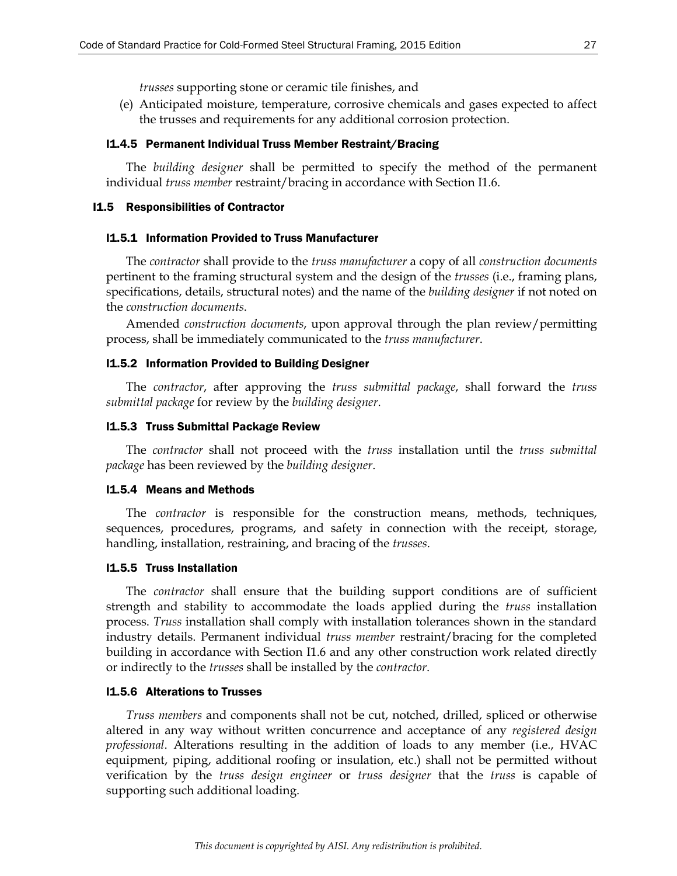*trusses* supporting stone or ceramic tile finishes, and

(e) Anticipated moisture, temperature, corrosive chemicals and gases expected to affect the trusses and requirements for any additional corrosion protection.

#### I1.4.5 Permanent Individual Truss Member Restraint/Bracing

The *building designer* shall be permitted to specify the method of the permanent individual *truss member* restraint/bracing in accordance with Section I1.6.

#### I1.5 Responsibilities of Contractor

#### I1.5.1 Information Provided to Truss Manufacturer

The *contractor* shall provide to the *truss manufacturer* a copy of all *construction documents* pertinent to the framing structural system and the design of the *trusses* (i.e., framing plans, specifications, details, structural notes) and the name of the *building designer* if not noted on the *construction documents*.

Amended *construction documents*, upon approval through the plan review/permitting process, shall be immediately communicated to the *truss manufacturer*.

#### I1.5.2 Information Provided to Building Designer

The *contractor*, after approving the *truss submittal package*, shall forward the *truss submittal package* for review by the *building designer*.

#### I1.5.3 Truss Submittal Package Review

The *contractor* shall not proceed with the *truss* installation until the *truss submittal package* has been reviewed by the *building designer*.

#### I1.5.4 Means and Methods

The *contractor* is responsible for the construction means, methods, techniques, sequences, procedures, programs, and safety in connection with the receipt, storage, handling, installation, restraining, and bracing of the *trusses*.

#### I1.5.5 Truss Installation

The *contractor* shall ensure that the building support conditions are of sufficient strength and stability to accommodate the loads applied during the *truss* installation process. *Truss* installation shall comply with installation tolerances shown in the standard industry details. Permanent individual *truss member* restraint/bracing for the completed building in accordance with Section I1.6 and any other construction work related directly or indirectly to the *trusses* shall be installed by the *contractor*.

#### I1.5.6 Alterations to Trusses

*Truss members* and components shall not be cut, notched, drilled, spliced or otherwise altered in any way without written concurrence and acceptance of any *registered design professional*. Alterations resulting in the addition of loads to any member (i.e., HVAC equipment, piping, additional roofing or insulation, etc.) shall not be permitted without verification by the *truss design engineer* or *truss designer* that the *truss* is capable of supporting such additional loading.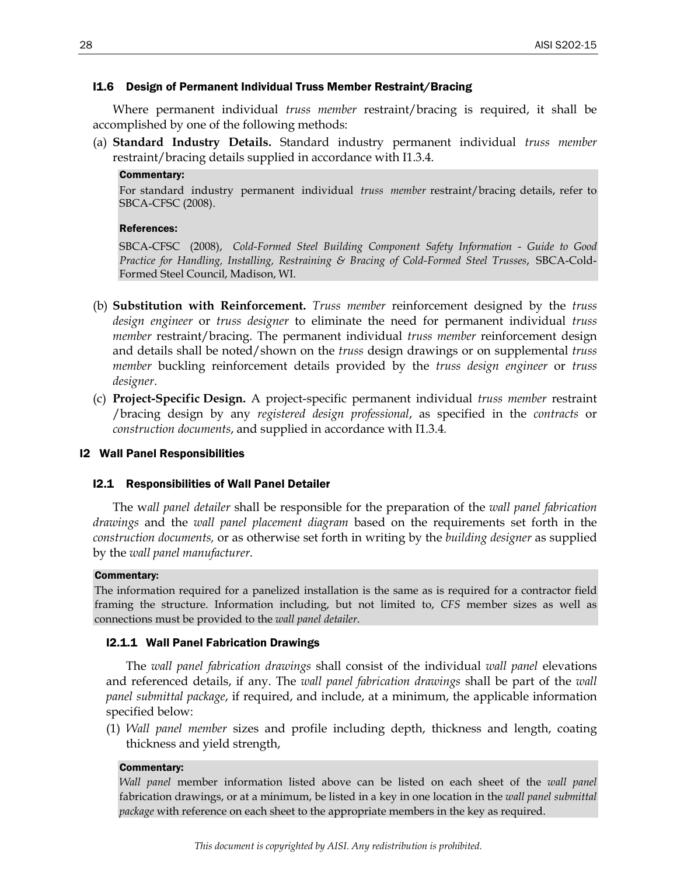#### I1.6 Design of Permanent Individual Truss Member Restraint/Bracing

Where permanent individual *truss member* restraint/bracing is required, it shall be accomplished by one of the following methods:

(a) **Standard Industry Details.** Standard industry permanent individual *truss member* restraint/bracing details supplied in accordance with I1.3.4.

#### Commentary:

For standard industry permanent individual *truss member* restraint/bracing details, refer to SBCA-CFSC (2008).

#### References:

SBCA-CFSC (2008), *Cold-Formed Steel Building Component Safety Information - Guide to Good Practice for Handling, Installing, Restraining & Bracing of Cold-Formed Steel Trusses*, SBCA-Cold-Formed Steel Council, Madison, WI.

- (b) **Substitution with Reinforcement.** *Truss member* reinforcement designed by the *truss design engineer* or *truss designer* to eliminate the need for permanent individual *truss member* restraint/bracing. The permanent individual *truss member* reinforcement design and details shall be noted/shown on the *truss* design drawings or on supplemental *truss member* buckling reinforcement details provided by the *truss design engineer* or *truss designer*.
- (c) **Project-Specific Design.** A project-specific permanent individual *truss member* restraint /bracing design by any *registered design professional*, as specified in the *contracts* or *construction documents*, and supplied in accordance with I1.3.4*.*

#### I2 Wall Panel Responsibilities

#### I2.1 Responsibilities of Wall Panel Detailer

The w*all panel detailer* shall be responsible for the preparation of the *wall panel fabrication drawings* and the *wall panel placement diagram* based on the requirements set forth in the *construction documents,* or as otherwise set forth in writing by the *building designer* as supplied by the *wall panel manufacturer*.

#### Commentary**:**

The information required for a panelized installation is the same as is required for a contractor field framing the structure. Information including, but not limited to, *CFS* member sizes as well as connections must be provided to the *wall panel detailer*.

#### I2.1.1 Wall Panel Fabrication Drawings

The *wall panel fabrication drawings* shall consist of the individual *wall panel* elevations and referenced details, if any. The *wall panel fabrication drawings* shall be part of the *wall panel submittal package*, if required, and include, at a minimum, the applicable information specified below:

(1) *Wall panel member* sizes and profile including depth, thickness and length, coating thickness and yield strength,

#### Commentary:

*Wall panel* member information listed above can be listed on each sheet of the *wall panel* fabrication drawings, or at a minimum, be listed in a key in one location in the *wall panel submittal package* with reference on each sheet to the appropriate members in the key as required.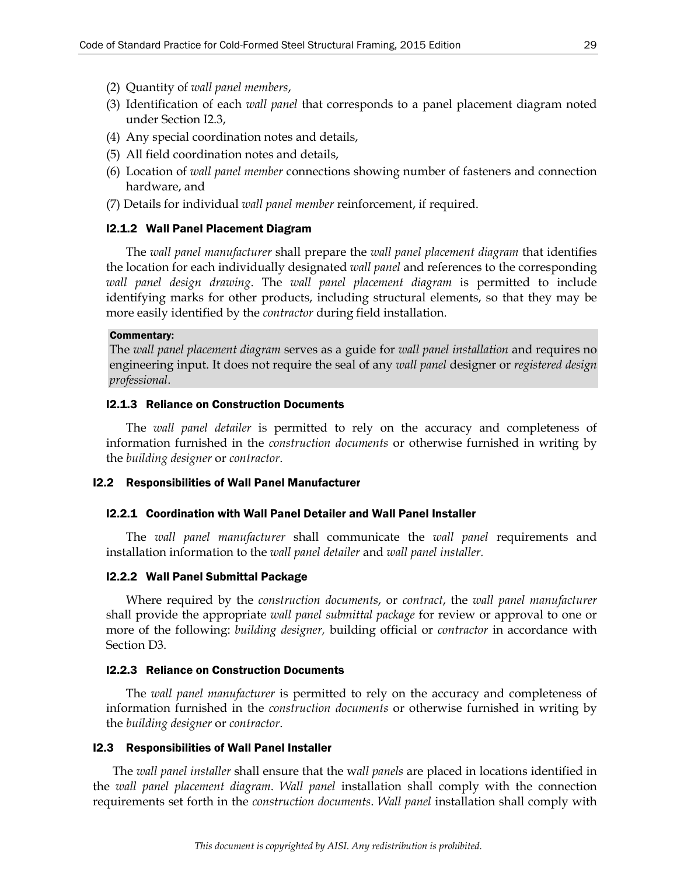- (2) Quantity of *wall panel members*,
- (3) Identification of each *wall panel* that corresponds to a panel placement diagram noted under Section I2.3,
- (4) Any special coordination notes and details,
- (5) All field coordination notes and details,
- (6) Location of *wall panel member* connections showing number of fasteners and connection hardware, and
- (7) Details for individual *wall panel member* reinforcement, if required.

#### I2.1.2 Wall Panel Placement Diagram

The *wall panel manufacturer* shall prepare the *wall panel placement diagram* that identifies the location for each individually designated *wall panel* and references to the corresponding *wall panel design drawing*. The *wall panel placement diagram* is permitted to include identifying marks for other products, including structural elements, so that they may be more easily identified by the *contractor* during field installation.

#### Commentary**:**

The *wall panel placement diagram* serves as a guide for *wall panel installation* and requires no engineering input. It does not require the seal of any *wall panel* designer or *registered design professional*.

#### I2.1.3 Reliance on Construction Documents

The *wall panel detailer* is permitted to rely on the accuracy and completeness of information furnished in the *construction documents* or otherwise furnished in writing by the *building designer* or *contractor*.

#### I2.2 Responsibilities of Wall Panel Manufacturer

#### I2.2.1 Coordination with Wall Panel Detailer and Wall Panel Installer

The *wall panel manufacturer* shall communicate the *wall panel* requirements and installation information to the *wall panel detailer* and *wall panel installer.*

#### I2.2.2 Wall Panel Submittal Package

Where required by the *construction documents*, or *contract*, the *wall panel manufacturer* shall provide the appropriate *wall panel submittal package* for review or approval to one or more of the following: *building designer,* building official or *contractor* in accordance with Section D3.

#### I2.2.3 Reliance on Construction Documents

The *wall panel manufacturer* is permitted to rely on the accuracy and completeness of information furnished in the *construction documents* or otherwise furnished in writing by the *building designer* or *contractor*.

#### I2.3 Responsibilities of Wall Panel Installer

The *wall panel installer* shall ensure that the w*all panels* are placed in locations identified in the *wall panel placement diagram*. *Wall panel* installation shall comply with the connection requirements set forth in the *construction documents*. *Wall panel* installation shall comply with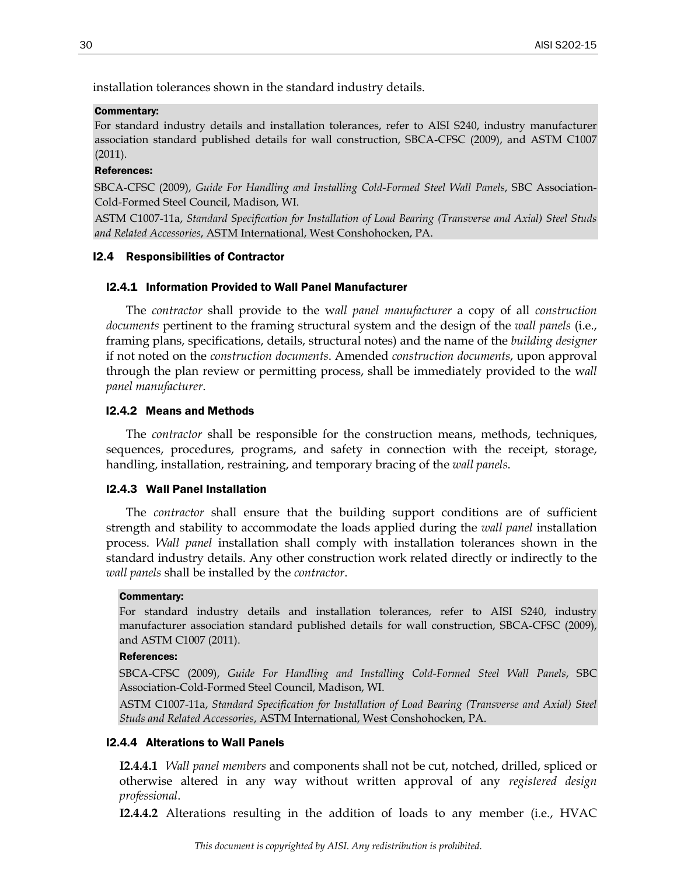installation tolerances shown in the standard industry details.

#### Commentary:

For standard industry details and installation tolerances, refer to AISI S240, industry manufacturer association standard published details for wall construction, SBCA-CFSC (2009), and ASTM C1007 (2011).

#### References:

SBCA-CFSC (2009), *Guide For Handling and Installing Cold-Formed Steel Wall Panels*, SBC Association-Cold-Formed Steel Council, Madison, WI.

ASTM C1007-11a, *Standard Specification for Installation of Load Bearing (Transverse and Axial) Steel Studs and Related Accessories*, ASTM International, West Conshohocken, PA.

### I2.4 Responsibilities of Contractor

#### I2.4.1 Information Provided to Wall Panel Manufacturer

The *contractor* shall provide to the w*all panel manufacturer* a copy of all *construction documents* pertinent to the framing structural system and the design of the *wall panels* (i.e., framing plans, specifications, details, structural notes) and the name of the *building designer* if not noted on the *construction documents*. Amended *construction documents*, upon approval through the plan review or permitting process, shall be immediately provided to the w*all panel manufacturer*.

### I2.4.2 Means and Methods

The *contractor* shall be responsible for the construction means, methods, techniques, sequences, procedures, programs, and safety in connection with the receipt, storage, handling, installation, restraining, and temporary bracing of the *wall panels*.

#### I2.4.3 Wall Panel Installation

The *contractor* shall ensure that the building support conditions are of sufficient strength and stability to accommodate the loads applied during the *wall panel* installation process. *Wall panel* installation shall comply with installation tolerances shown in the standard industry details. Any other construction work related directly or indirectly to the *wall panels* shall be installed by the *contractor*.

#### Commentary:

For standard industry details and installation tolerances, refer to AISI S240, industry manufacturer association standard published details for wall construction, SBCA-CFSC (2009), and ASTM C1007 (2011).

#### References:

SBCA-CFSC (2009), *Guide For Handling and Installing Cold-Formed Steel Wall Panels*, SBC Association-Cold-Formed Steel Council, Madison, WI.

ASTM C1007-11a, *Standard Specification for Installation of Load Bearing (Transverse and Axial) Steel Studs and Related Accessories*, ASTM International, West Conshohocken, PA.

#### I2.4.4 Alterations to Wall Panels

**I2.4.4.1** *Wall panel members* and components shall not be cut, notched, drilled, spliced or otherwise altered in any way without written approval of any *registered design professional*.

**I2.4.4.2** Alterations resulting in the addition of loads to any member (i.e., HVAC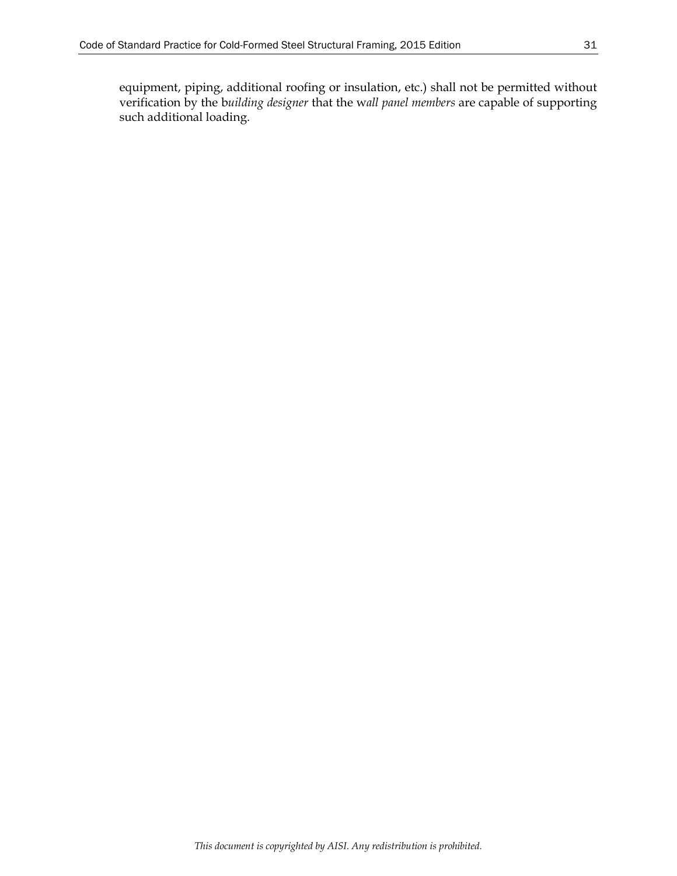equipment, piping, additional roofing or insulation, etc.) shall not be permitted without verification by the b*uilding designer* that the w*all panel members* are capable of supporting such additional loading.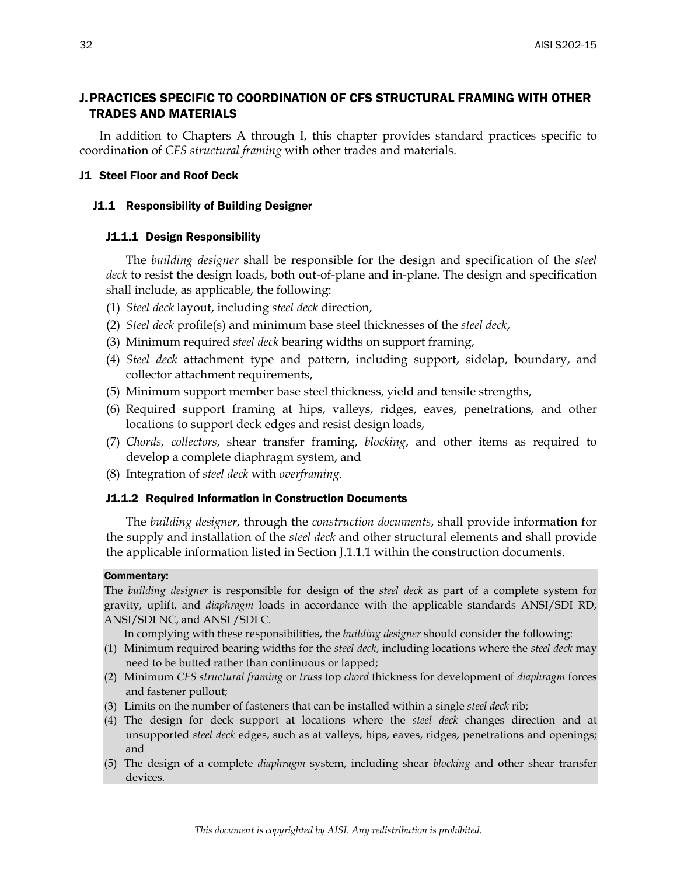# J.PRACTICES SPECIFIC TO COORDINATION OF CFS STRUCTURAL FRAMING WITH OTHER TRADES AND MATERIALS

In addition to Chapters A through I, this chapter provides standard practices specific to coordination of *CFS structural framing* with other trades and materials.

### J1 Steel Floor and Roof Deck

#### J1.1 Responsibility of Building Designer

### J1.1.1 Design Responsibility

The *building designer* shall be responsible for the design and specification of the *steel deck* to resist the design loads, both out-of-plane and in-plane. The design and specification shall include, as applicable, the following:

- (1) *Steel deck* layout, including *steel deck* direction,
- (2) *Steel deck* profile(s) and minimum base steel thicknesses of the *steel deck*,
- (3) Minimum required *steel deck* bearing widths on support framing,
- (4) *Steel deck* attachment type and pattern, including support, sidelap, boundary, and collector attachment requirements,
- (5) Minimum support member base steel thickness, yield and tensile strengths,
- (6) Required support framing at hips, valleys, ridges, eaves, penetrations, and other locations to support deck edges and resist design loads,
- (7) *Chords, collectors*, shear transfer framing, *blocking*, and other items as required to develop a complete diaphragm system, and
- (8) Integration of *steel deck* with *overframing*.

#### J1.1.2 Required Information in Construction Documents

The *building designer*, through the *construction documents*, shall provide information for the supply and installation of the *steel deck* and other structural elements and shall provide the applicable information listed in Section J.1.1.1 within the construction documents.

#### Commentary:

The *building designer* is responsible for design of the *steel deck* as part of a complete system for gravity, uplift, and *diaphragm* loads in accordance with the applicable standards ANSI/SDI RD, ANSI/SDI NC, and ANSI /SDI C.

In complying with these responsibilities, the *building designer* should consider the following:

- (1) Minimum required bearing widths for the *steel deck*, including locations where the *steel deck* may need to be butted rather than continuous or lapped;
- (2) Minimum *CFS structural framing* or *truss* top *chord* thickness for development of *diaphragm* forces and fastener pullout;
- (3) Limits on the number of fasteners that can be installed within a single *steel deck* rib;
- (4) The design for deck support at locations where the *steel deck* changes direction and at unsupported *steel deck* edges, such as at valleys, hips, eaves, ridges, penetrations and openings; and
- (5) The design of a complete *diaphragm* system, including shear *blocking* and other shear transfer devices.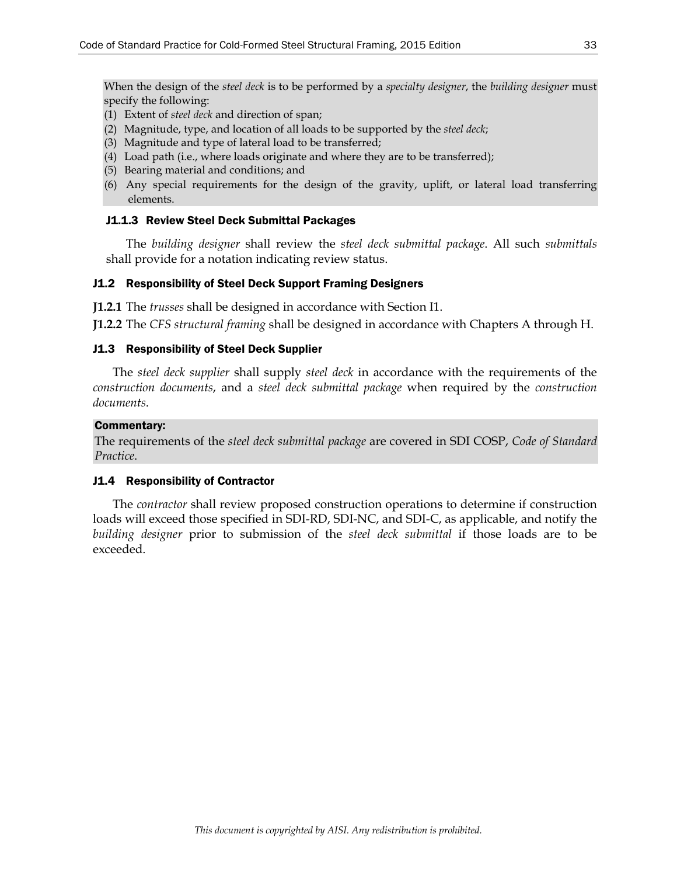When the design of the *steel deck* is to be performed by a *specialty designer*, the *building designer* must specify the following:

- (1) Extent of *steel deck* and direction of span;
- (2) Magnitude, type, and location of all loads to be supported by the *steel deck*;
- (3) Magnitude and type of lateral load to be transferred;
- (4) Load path (i.e., where loads originate and where they are to be transferred);
- (5) Bearing material and conditions; and
- (6) Any special requirements for the design of the gravity, uplift, or lateral load transferring elements.

#### J1.1.3 Review Steel Deck Submittal Packages

The *building designer* shall review the *steel deck submittal package*. All such *submittals* shall provide for a notation indicating review status.

#### J1.2 Responsibility of Steel Deck Support Framing Designers

- **J1.2.1** The *trusses* shall be designed in accordance with Section I1.
- **J1.2.2** The *CFS structural framing* shall be designed in accordance with Chapters A through H.

#### J1.3 Responsibility of Steel Deck Supplier

The *steel deck supplier* shall supply *steel deck* in accordance with the requirements of the *construction documents*, and a *steel deck submittal package* when required by the *construction documents*.

#### Commentary:

The requirements of the *steel deck submittal package* are covered in SDI COSP, *Code of Standard Practice*.

#### J1.4 Responsibility of Contractor

The *contractor* shall review proposed construction operations to determine if construction loads will exceed those specified in SDI-RD, SDI-NC, and SDI-C, as applicable, and notify the *building designer* prior to submission of the *steel deck submittal* if those loads are to be exceeded.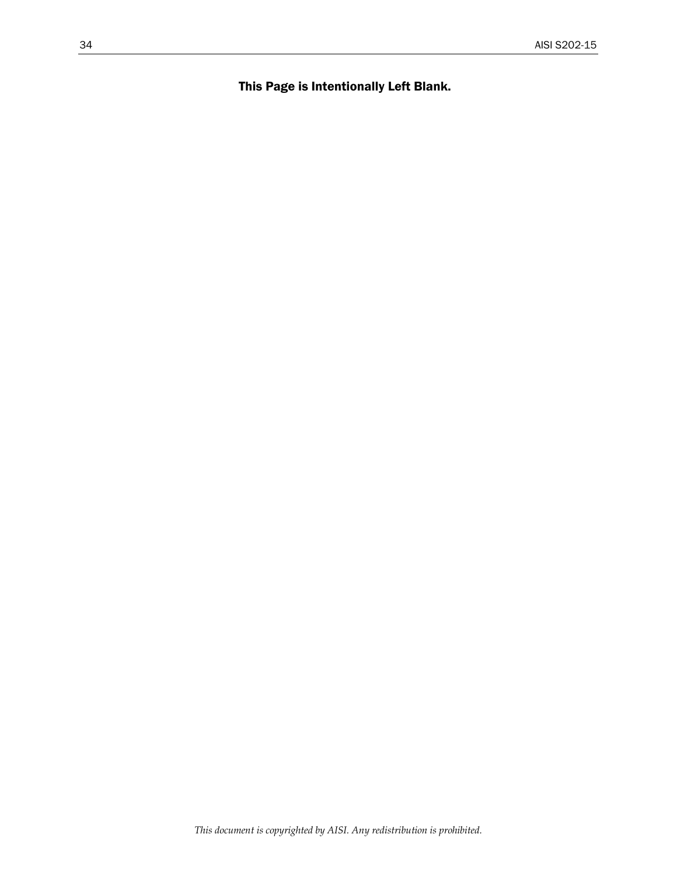This Page is Intentionally Left Blank.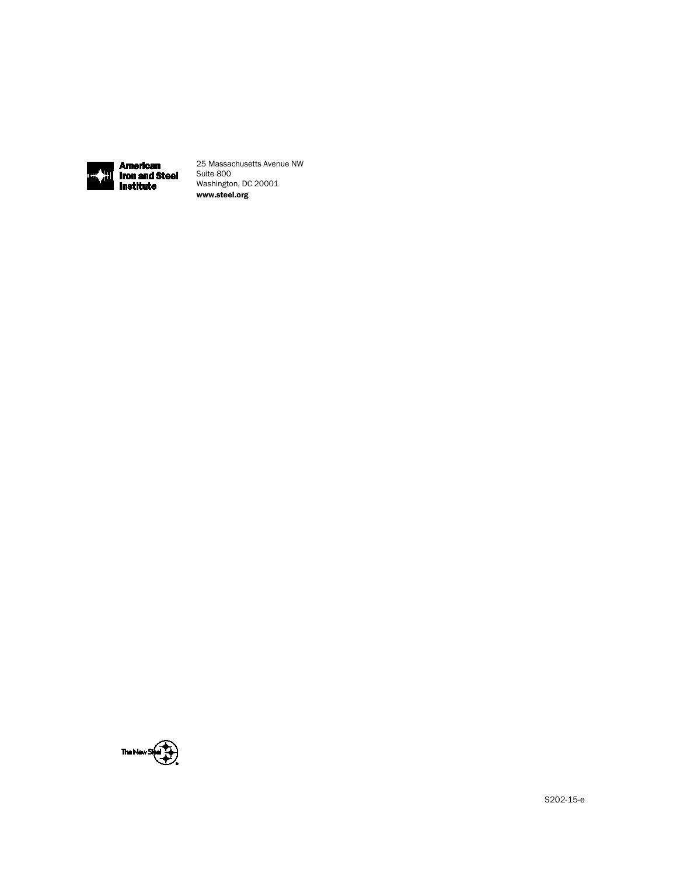

25 Massachusetts Avenue NW Suite 800 Washington, DC 20001 www.steel.org